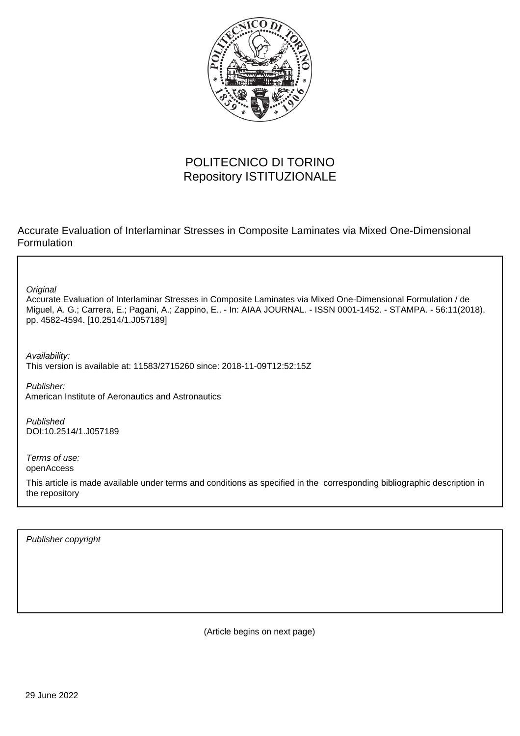

# POLITECNICO DI TORINO Repository ISTITUZIONALE

Accurate Evaluation of Interlaminar Stresses in Composite Laminates via Mixed One-Dimensional Formulation

**Original** 

Accurate Evaluation of Interlaminar Stresses in Composite Laminates via Mixed One-Dimensional Formulation / de Miguel, A. G.; Carrera, E.; Pagani, A.; Zappino, E.. - In: AIAA JOURNAL. - ISSN 0001-1452. - STAMPA. - 56:11(2018), pp. 4582-4594. [10.2514/1.J057189]

Availability: This version is available at: 11583/2715260 since: 2018-11-09T12:52:15Z

Publisher: American Institute of Aeronautics and Astronautics

Published DOI:10.2514/1.J057189

Terms of use: openAccess

This article is made available under terms and conditions as specified in the corresponding bibliographic description in the repository

Publisher copyright

(Article begins on next page)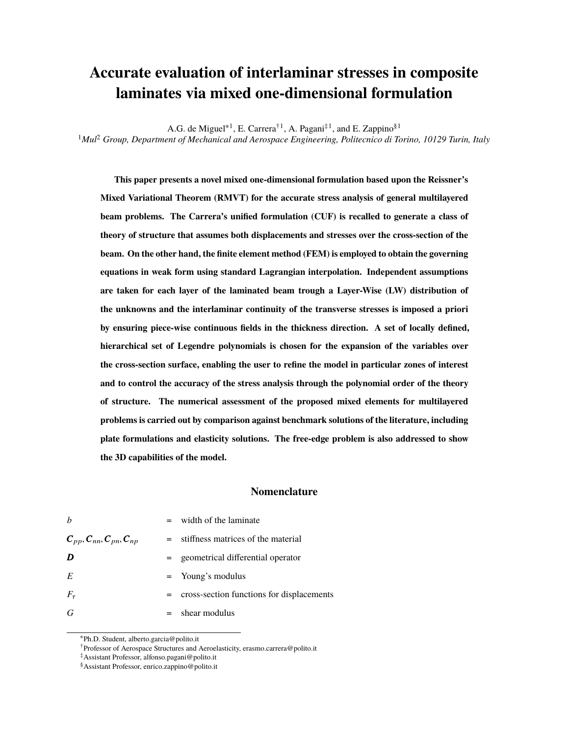# **Accurate evaluation of interlaminar stresses in composite laminates via mixed one-dimensional formulation**

A.G. de Miguel<sup>\*1</sup>, E. Carrera<sup>†1</sup>, A. Pagani<sup>‡1</sup>, and E. Zappino<sup>§1</sup>

<sup>1</sup>*Mul*<sup>2</sup> *Group, Department of Mechanical and Aerospace Engineering, Politecnico di Torino, 10129 Turin, Italy*

**This paper presents a novel mixed one-dimensional formulation based upon the Reissner's Mixed Variational Theorem (RMVT) for the accurate stress analysis of general multilayered beam problems. The Carrera's unified formulation (CUF) is recalled to generate a class of theory of structure that assumes both displacements and stresses over the cross-section of the beam. On the other hand, the finite element method (FEM) is employed to obtain the governing equations in weak form using standard Lagrangian interpolation. Independent assumptions are taken for each layer of the laminated beam trough a Layer-Wise (LW) distribution of the unknowns and the interlaminar continuity of the transverse stresses is imposed a priori by ensuring piece-wise continuous fields in the thickness direction. A set of locally defined, hierarchical set of Legendre polynomials is chosen for the expansion of the variables over the cross-section surface, enabling the user to refine the model in particular zones of interest and to control the accuracy of the stress analysis through the polynomial order of the theory of structure. The numerical assessment of the proposed mixed elements for multilayered problems is carried out by comparison against benchmark solutions of the literature, including plate formulations and elasticity solutions. The free-edge problem is also addressed to show the 3D capabilities of the model.**

## **Nomenclature**

| $\boldsymbol{h}$                 |     | $=$ width of the laminate                 |
|----------------------------------|-----|-------------------------------------------|
| $C_{pp}, C_{nn}, C_{pn}, C_{np}$ |     | = stiffness matrices of the material      |
| D                                | $=$ | geometrical differential operator         |
| E                                |     | $=$ Young's modulus                       |
| $F_{\tau}$                       | $=$ | cross-section functions for displacements |
| G                                |     | $=$ shear modulus                         |

<sup>∗</sup>Ph.D. Student, alberto.garcia@polito.it

<sup>†</sup>Professor of Aerospace Structures and Aeroelasticity, erasmo.carrera@polito.it

<sup>‡</sup>Assistant Professor, alfonso.pagani@polito.it

<sup>§</sup>Assistant Professor, enrico.zappino@polito.it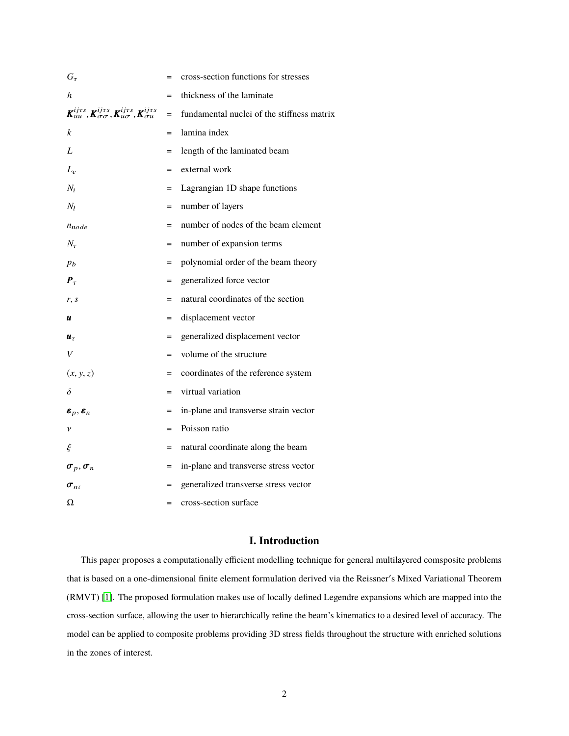| $G_\tau$                                                                                                                  | $=$ | cross-section functions for stresses       |
|---------------------------------------------------------------------------------------------------------------------------|-----|--------------------------------------------|
| h                                                                                                                         |     | thickness of the laminate                  |
| $\pmb{K}_{uu}^{ij\tau s}, \pmb{K}_{\sigma\sigma}^{ij\tau s}, \pmb{K}_{u\sigma}^{ij\tau s}, \pmb{K}_{\sigma u}^{ij\tau s}$ | $=$ | fundamental nuclei of the stiffness matrix |
| k                                                                                                                         | $=$ | lamina index                               |
| L                                                                                                                         | $=$ | length of the laminated beam               |
| $L_e$                                                                                                                     | $=$ | external work                              |
| $N_i$                                                                                                                     | $=$ | Lagrangian 1D shape functions              |
| $N_l$                                                                                                                     | $=$ | number of layers                           |
| $n_{node}$                                                                                                                | $=$ | number of nodes of the beam element        |
| $N_{\tau}$                                                                                                                | $=$ | number of expansion terms                  |
| $p_b$                                                                                                                     | $=$ | polynomial order of the beam theory        |
| $\boldsymbol{P}_{\tau}$                                                                                                   | $=$ | generalized force vector                   |
| r, s                                                                                                                      | $=$ | natural coordinates of the section         |
| u                                                                                                                         | $=$ | displacement vector                        |
| $\boldsymbol{u}_{\tau}$                                                                                                   | $=$ | generalized displacement vector            |
| V                                                                                                                         | $=$ | volume of the structure                    |
| (x, y, z)                                                                                                                 | $=$ | coordinates of the reference system        |
| δ                                                                                                                         | $=$ | virtual variation                          |
| $\boldsymbol{\varepsilon}_p, \boldsymbol{\varepsilon}_n$                                                                  | $=$ | in-plane and transverse strain vector      |
| $\mathcal V$                                                                                                              | $=$ | Poisson ratio                              |
| ξ                                                                                                                         | $=$ | natural coordinate along the beam          |
| $\sigma_p, \sigma_n$                                                                                                      | $=$ | in-plane and transverse stress vector      |
| $\sigma_{n\tau}$                                                                                                          | $=$ | generalized transverse stress vector       |
| Ω                                                                                                                         | $=$ | cross-section surface                      |

# **I. Introduction**

This paper proposes a computationally efficient modelling technique for general multilayered comsposite problems that is based on a one-dimensional finite element formulation derived via the Reissner's Mixed Variational Theorem (RMVT) [1]. The proposed formulation makes use of locally defined Legendre expansions which are mapped into the cross-section surface, allowing the user to hierarchically refine the beam's kinematics to a desired level of accuracy. The model can be applied to composite problems providing 3D stress fields throughout the structure with enriched solutions in the zones of interest.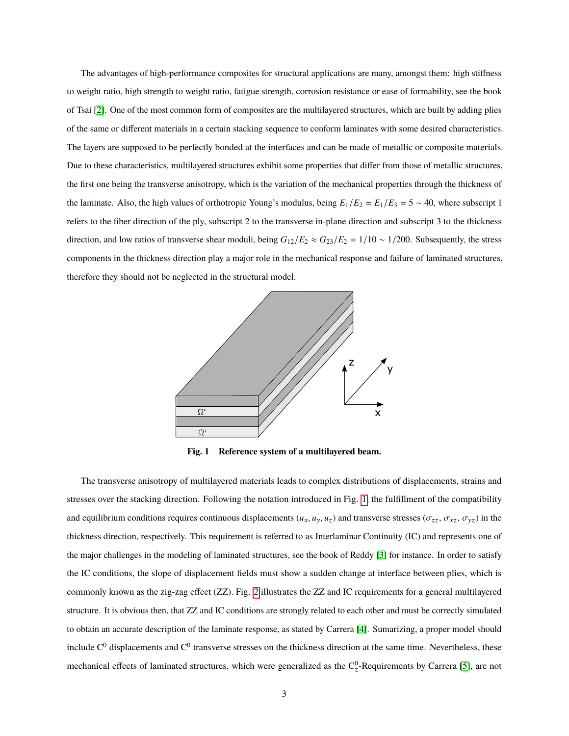The advantages of high-performance composites for structural applications are many, amongst them: high stiffness to weight ratio, high strength to weight ratio, fatigue strength, corrosion resistance or ease of formability, see the book of Tsai [2]. One of the most common form of composites are the multilayered structures, which are built by adding plies of the same or different materials in a certain stacking sequence to conform laminates with some desired characteristics. The layers are supposed to be perfectly bonded at the interfaces and can be made of metallic or composite materials. Due to these characteristics, multilayered structures exhibit some properties that differ from those of metallic structures, the first one being the transverse anisotropy, which is the variation of the mechanical properties through the thickness of the laminate. Also, the high values of orthotropic Young's modulus, being  $E_1/E_2 = E_1/E_3 = 5 \sim 40$ , where subscript 1 refers to the fiber direction of the ply, subscript 2 to the transverse in-plane direction and subscript 3 to the thickness direction, and low ratios of transverse shear moduli, being  $G_{12}/E_2 \approx G_{23}/E_2 = 1/10 \sim 1/200$ . Subsequently, the stress components in the thickness direction play a major role in the mechanical response and failure of laminated structures, therefore they should not be neglected in the structural model.



**Fig. 1 Reference system of a multilayered beam.**

The transverse anisotropy of multilayered materials leads to complex distributions of displacements, strains and stresses over the stacking direction. Following the notation introduced in Fig. 1, the fulfillment of the compatibility and equilibrium conditions requires continuous displacements  $(u_x, u_y, u_z)$  and transverse stresses  $(\sigma_{zz}, \sigma_{xz}, \sigma_{yz})$  in the thickness direction, respectively. This requirement is referred to as Interlaminar Continuity (IC) and represents one of the major challenges in the modeling of laminated structures, see the book of Reddy [3] for instance. In order to satisfy the IC conditions, the slope of displacement fields must show a sudden change at interface between plies, which is commonly known as the zig-zag effect (ZZ). Fig. 2 illustrates the ZZ and IC requirements for a general multilayered structure. It is obvious then, that ZZ and IC conditions are strongly related to each other and must be correctly simulated to obtain an accurate description of the laminate response, as stated by Carrera [4]. Sumarizing, a proper model should include  $C^0$  displacements and  $C^0$  transverse stresses on the thickness direction at the same time. Nevertheless, these mechanical effects of laminated structures, which were generalized as the  $C_2^0$ -Requirements by Carrera [5], are not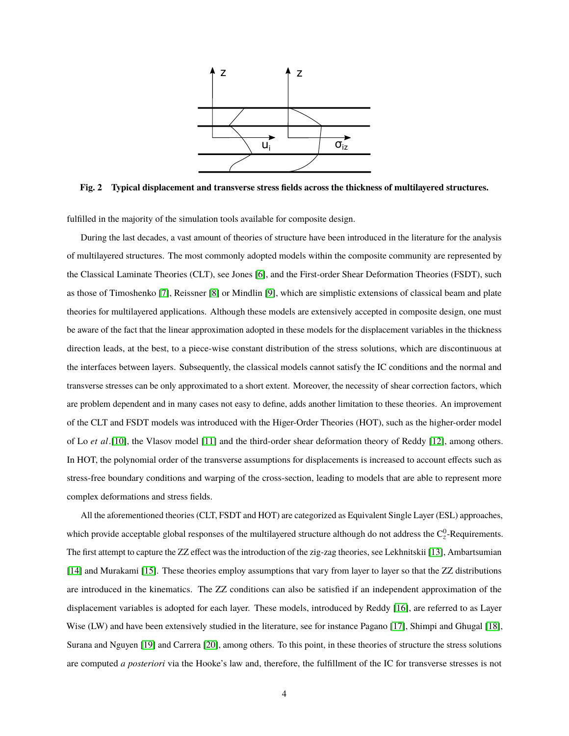

**Fig. 2 Typical displacement and transverse stress fields across the thickness of multilayered structures.**

fulfilled in the majority of the simulation tools available for composite design.

During the last decades, a vast amount of theories of structure have been introduced in the literature for the analysis of multilayered structures. The most commonly adopted models within the composite community are represented by the Classical Laminate Theories (CLT), see Jones [6], and the First-order Shear Deformation Theories (FSDT), such as those of Timoshenko [7], Reissner [8] or Mindlin [9], which are simplistic extensions of classical beam and plate theories for multilayered applications. Although these models are extensively accepted in composite design, one must be aware of the fact that the linear approximation adopted in these models for the displacement variables in the thickness direction leads, at the best, to a piece-wise constant distribution of the stress solutions, which are discontinuous at the interfaces between layers. Subsequently, the classical models cannot satisfy the IC conditions and the normal and transverse stresses can be only approximated to a short extent. Moreover, the necessity of shear correction factors, which are problem dependent and in many cases not easy to define, adds another limitation to these theories. An improvement of the CLT and FSDT models was introduced with the Higer-Order Theories (HOT), such as the higher-order model of Lo *et al*.[10], the Vlasov model [11] and the third-order shear deformation theory of Reddy [12], among others. In HOT, the polynomial order of the transverse assumptions for displacements is increased to account effects such as stress-free boundary conditions and warping of the cross-section, leading to models that are able to represent more complex deformations and stress fields.

All the aforementioned theories (CLT, FSDT and HOT) are categorized as Equivalent Single Layer (ESL) approaches, which provide acceptable global responses of the multilayered structure although do not address the  $C_2^0$ -Requirements. The first attempt to capture the ZZ effect was the introduction of the zig-zag theories, see Lekhnitskii [13], Ambartsumian [14] and Murakami [15]. These theories employ assumptions that vary from layer to layer so that the ZZ distributions are introduced in the kinematics. The ZZ conditions can also be satisfied if an independent approximation of the displacement variables is adopted for each layer. These models, introduced by Reddy [16], are referred to as Layer Wise (LW) and have been extensively studied in the literature, see for instance Pagano [17], Shimpi and Ghugal [18], Surana and Nguyen [19] and Carrera [20], among others. To this point, in these theories of structure the stress solutions are computed *a posteriori* via the Hooke's law and, therefore, the fulfillment of the IC for transverse stresses is not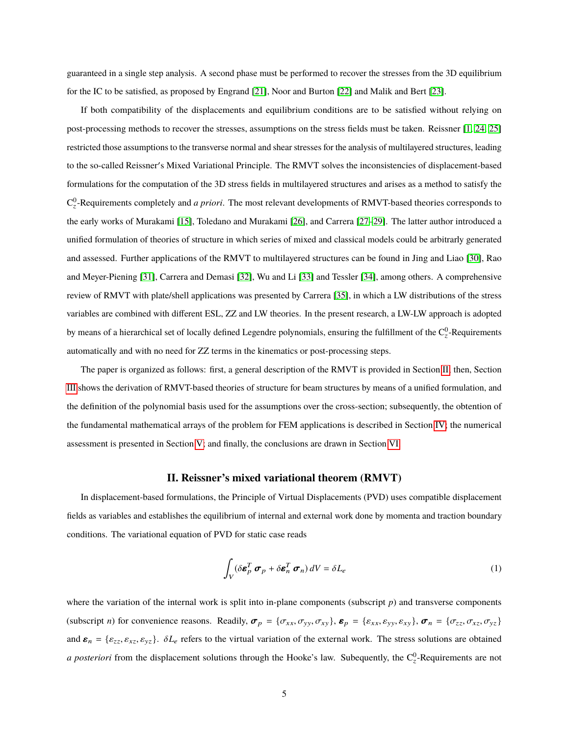guaranteed in a single step analysis. A second phase must be performed to recover the stresses from the 3D equilibrium for the IC to be satisfied, as proposed by Engrand [21], Noor and Burton [22] and Malik and Bert [23].

If both compatibility of the displacements and equilibrium conditions are to be satisfied without relying on post-processing methods to recover the stresses, assumptions on the stress fields must be taken. Reissner [1, 24, 25] restricted those assumptions to the transverse normal and shear stresses for the analysis of multilayered structures, leading to the so-called Reissner's Mixed Variational Principle. The RMVT solves the inconsistencies of displacement-based formulations for the computation of the 3D stress fields in multilayered structures and arises as a method to satisfy the C 0 z -Requirements completely and *a priori*. The most relevant developments of RMVT-based theories corresponds to the early works of Murakami [15], Toledano and Murakami [26], and Carrera [27–29]. The latter author introduced a unified formulation of theories of structure in which series of mixed and classical models could be arbitrarly generated and assessed. Further applications of the RMVT to multilayered structures can be found in Jing and Liao [30], Rao and Meyer-Piening [31], Carrera and Demasi [32], Wu and Li [33] and Tessler [34], among others. A comprehensive review of RMVT with plate/shell applications was presented by Carrera [35], in which a LW distributions of the stress variables are combined with different ESL, ZZ and LW theories. In the present research, a LW-LW approach is adopted by means of a hierarchical set of locally defined Legendre polynomials, ensuring the fulfillment of the  $C_2^0$ -Requirements automatically and with no need for ZZ terms in the kinematics or post-processing steps.

The paper is organized as follows: first, a general description of the RMVT is provided in Section II; then, Section III shows the derivation of RMVT-based theories of structure for beam structures by means of a unified formulation, and the definition of the polynomial basis used for the assumptions over the cross-section; subsequently, the obtention of the fundamental mathematical arrays of the problem for FEM applications is described in Section IV; the numerical assessment is presented in Section V; and finally, the conclusions are drawn in Section VI.

#### **II. Reissner's mixed variational theorem (RMVT)**

In displacement-based formulations, the Principle of Virtual Displacements (PVD) uses compatible displacement fields as variables and establishes the equilibrium of internal and external work done by momenta and traction boundary conditions. The variational equation of PVD for static case reads

$$
\int_{V} (\delta \boldsymbol{\varepsilon}_{p}^{T} \boldsymbol{\sigma}_{p} + \delta \boldsymbol{\varepsilon}_{n}^{T} \boldsymbol{\sigma}_{n}) dV = \delta L_{e}
$$
\n(1)

where the variation of the internal work is split into in-plane components (subscript *p*) and transverse components (subscript *n*) for convenience reasons. Readily,  $\boldsymbol{\sigma}_p = {\sigma_{xx}, \sigma_{yy}, \sigma_{xy}}$ ,  $\boldsymbol{\varepsilon}_p = {\varepsilon_{xx}, \varepsilon_{yy}, \varepsilon_{xy}}$ ,  $\boldsymbol{\sigma}_n = {\sigma_{zz}, \sigma_{xz}, \sigma_{yz}}$ and  $\boldsymbol{\varepsilon}_n = {\varepsilon_{zz}, \varepsilon_{xz}, \varepsilon_{yz}}$ .  $\delta L_e$  refers to the virtual variation of the external work. The stress solutions are obtained *a posteriori* from the displacement solutions through the Hooke's law. Subequently, the  $C_2^0$ -Requirements are not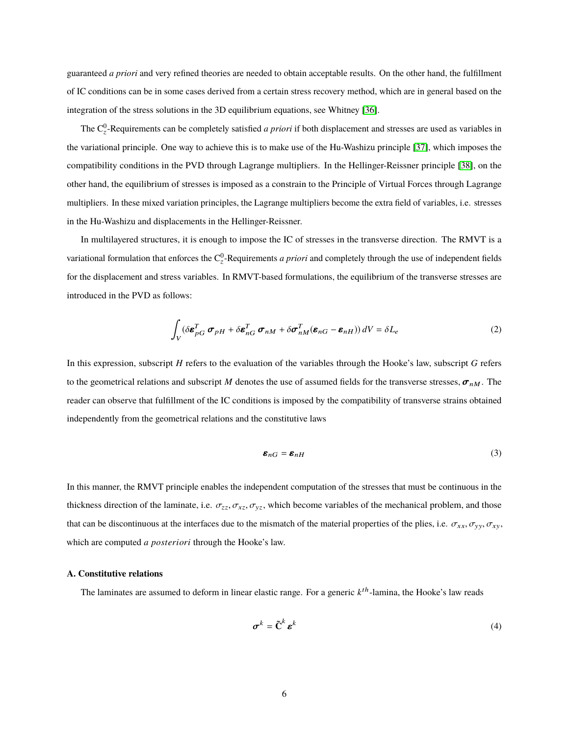guaranteed *a priori* and very refined theories are needed to obtain acceptable results. On the other hand, the fulfillment of IC conditions can be in some cases derived from a certain stress recovery method, which are in general based on the integration of the stress solutions in the 3D equilibrium equations, see Whitney [36].

The  $C_2^0$ -Requirements can be completely satisfied *a priori* if both displacement and stresses are used as variables in the variational principle. One way to achieve this is to make use of the Hu-Washizu principle [37], which imposes the compatibility conditions in the PVD through Lagrange multipliers. In the Hellinger-Reissner principle [38], on the other hand, the equilibrium of stresses is imposed as a constrain to the Principle of Virtual Forces through Lagrange multipliers. In these mixed variation principles, the Lagrange multipliers become the extra field of variables, i.e. stresses in the Hu-Washizu and displacements in the Hellinger-Reissner.

In multilayered structures, it is enough to impose the IC of stresses in the transverse direction. The RMVT is a variational formulation that enforces the  $C_2^0$ -Requirements *a priori* and completely through the use of independent fields for the displacement and stress variables. In RMVT-based formulations, the equilibrium of the transverse stresses are introduced in the PVD as follows:

$$
\int_{V} (\delta \boldsymbol{\varepsilon}_{pG}^{T} \boldsymbol{\sigma}_{pH} + \delta \boldsymbol{\varepsilon}_{nG}^{T} \boldsymbol{\sigma}_{nM} + \delta \boldsymbol{\sigma}_{nM}^{T} (\boldsymbol{\varepsilon}_{nG} - \boldsymbol{\varepsilon}_{nH})) dV = \delta L_{e}
$$
\n(2)

In this expression, subscript *H* refers to the evaluation of the variables through the Hooke's law, subscript *G* refers to the geometrical relations and subscript *M* denotes the use of assumed fields for the transverse stresses,  $\sigma_{nM}$ . The reader can observe that fulfillment of the IC conditions is imposed by the compatibility of transverse strains obtained independently from the geometrical relations and the constitutive laws

$$
\boldsymbol{\varepsilon}_{nG} = \boldsymbol{\varepsilon}_{nH} \tag{3}
$$

In this manner, the RMVT principle enables the independent computation of the stresses that must be continuous in the thickness direction of the laminate, i.e.  $\sigma_{zz}, \sigma_{xz}, \sigma_{yz}$ , which become variables of the mechanical problem, and those that can be discontinuous at the interfaces due to the mismatch of the material properties of the plies, i.e.  $\sigma_{xx}, \sigma_{yy}, \sigma_{xy}$ , which are computed *a posteriori* through the Hooke's law.

### **A. Constitutive relations**

The laminates are assumed to deform in linear elastic range. For a generic  $k^{th}$ -lamina, the Hooke's law reads

$$
\boldsymbol{\sigma}^k = \tilde{\mathbf{C}}^k \, \boldsymbol{\varepsilon}^k \tag{4}
$$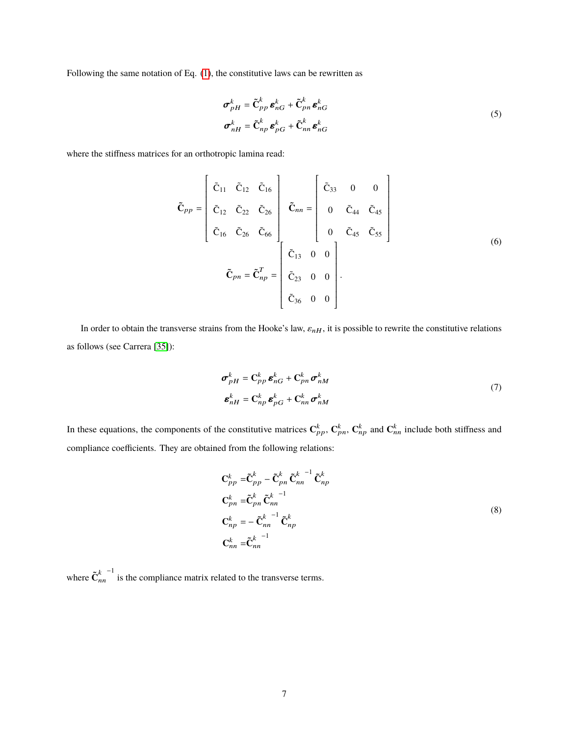Following the same notation of Eq. (1), the constitutive laws can be rewritten as

$$
\sigma_{pH}^{k} = \tilde{\mathbf{C}}_{pp}^{k} \boldsymbol{\varepsilon}_{nG}^{k} + \tilde{\mathbf{C}}_{pn}^{k} \boldsymbol{\varepsilon}_{nG}^{k}
$$
\n
$$
\sigma_{nH}^{k} = \tilde{\mathbf{C}}_{np}^{k} \boldsymbol{\varepsilon}_{pG}^{k} + \tilde{\mathbf{C}}_{nn}^{k} \boldsymbol{\varepsilon}_{nG}^{k}
$$
\n(5)

where the stiffness matrices for an orthotropic lamina read:

$$
\tilde{\mathbf{C}}_{pp} = \begin{bmatrix} \tilde{C}_{11} & \tilde{C}_{12} & \tilde{C}_{16} \\ \tilde{C}_{12} & \tilde{C}_{22} & \tilde{C}_{26} \\ \tilde{C}_{16} & \tilde{C}_{26} & \tilde{C}_{66} \end{bmatrix} \quad \tilde{\mathbf{C}}_{nn} = \begin{bmatrix} \tilde{C}_{33} & 0 & 0 \\ 0 & \tilde{C}_{44} & \tilde{C}_{45} \\ 0 & \tilde{C}_{45} & \tilde{C}_{55} \end{bmatrix}
$$
\n
$$
\tilde{\mathbf{C}}_{pn} = \tilde{\mathbf{C}}_{np}^T = \begin{bmatrix} \tilde{C}_{13} & 0 & 0 \\ \tilde{C}_{23} & 0 & 0 \\ \tilde{C}_{36} & 0 & 0 \end{bmatrix} .
$$
\n(6)

In order to obtain the transverse strains from the Hooke's law,  $\varepsilon_{nH}$ , it is possible to rewrite the constitutive relations as follows (see Carrera [35]):

$$
\boldsymbol{\sigma}_{pH}^{k} = \mathbf{C}_{pp}^{k} \boldsymbol{\varepsilon}_{nG}^{k} + \mathbf{C}_{pn}^{k} \boldsymbol{\sigma}_{nM}^{k}
$$
\n
$$
\boldsymbol{\varepsilon}_{nH}^{k} = \mathbf{C}_{np}^{k} \boldsymbol{\varepsilon}_{pG}^{k} + \mathbf{C}_{nn}^{k} \boldsymbol{\sigma}_{nM}^{k}
$$
\n(7)

In these equations, the components of the constitutive matrices  $C_{pp}^k$ ,  $C_{pn}^k$ ,  $C_{np}^k$  and  $C_{nn}^k$  include both stiffness and compliance coefficients. They are obtained from the following relations:

$$
\mathbf{C}_{pp}^{k} = \tilde{\mathbf{C}}_{pp}^{k} - \tilde{\mathbf{C}}_{pn}^{k} \tilde{\mathbf{C}}_{nn}^{k}^{-1} \tilde{\mathbf{C}}_{np}^{k}
$$
\n
$$
\mathbf{C}_{pn}^{k} = \tilde{\mathbf{C}}_{pn}^{k} \tilde{\mathbf{C}}_{nn}^{k}^{-1}
$$
\n
$$
\mathbf{C}_{np}^{k} = - \tilde{\mathbf{C}}_{nn}^{k} \tilde{\mathbf{C}}_{np}^{k}
$$
\n
$$
\mathbf{C}_{nn}^{k} = \tilde{\mathbf{C}}_{nn}^{k}^{-1}
$$
\n(8)

where  $\mathbf{\tilde{C}}_n^k$ nn −1 is the compliance matrix related to the transverse terms.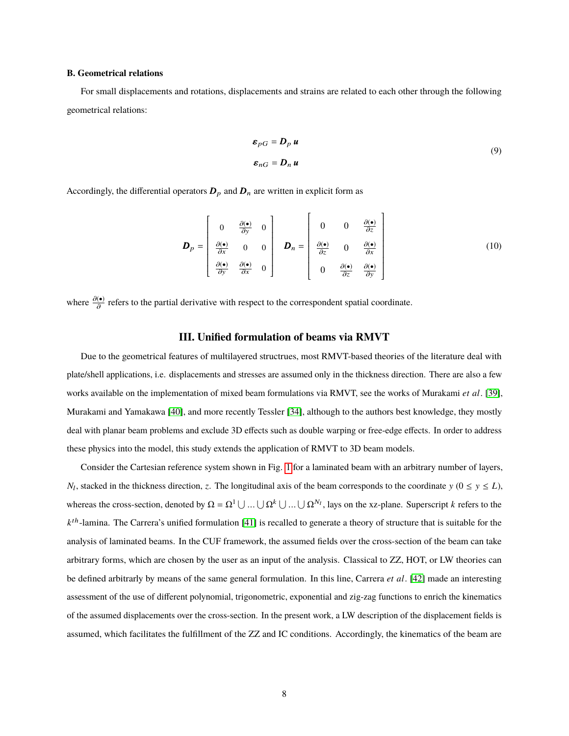#### **B. Geometrical relations**

For small displacements and rotations, displacements and strains are related to each other through the following geometrical relations:

$$
\boldsymbol{\varepsilon}_{pG} = \boldsymbol{D}_p \, \boldsymbol{u}
$$
\n
$$
\boldsymbol{\varepsilon}_{nG} = \boldsymbol{D}_n \, \boldsymbol{u}
$$
\n(9)

Accordingly, the differential operators  $D_p$  and  $D_n$  are written in explicit form as

$$
\boldsymbol{D}_{p} = \begin{bmatrix} 0 & \frac{\partial(\bullet)}{\partial y} & 0 \\ \frac{\partial(\bullet)}{\partial x} & 0 & 0 \\ \frac{\partial(\bullet)}{\partial y} & \frac{\partial(\bullet)}{\partial x} & 0 \end{bmatrix} \quad \boldsymbol{D}_{n} = \begin{bmatrix} 0 & 0 & \frac{\partial(\bullet)}{\partial z} \\ \frac{\partial(\bullet)}{\partial z} & 0 & \frac{\partial(\bullet)}{\partial x} \\ 0 & \frac{\partial(\bullet)}{\partial z} & \frac{\partial(\bullet)}{\partial y} \end{bmatrix}
$$
(10)

where  $\frac{\partial (\bullet)}{\partial}$  refers to the partial derivative with respect to the correspondent spatial coordinate.

# **III. Unified formulation of beams via RMVT**

Due to the geometrical features of multilayered structrues, most RMVT-based theories of the literature deal with plate/shell applications, i.e. displacements and stresses are assumed only in the thickness direction. There are also a few works available on the implementation of mixed beam formulations via RMVT, see the works of Murakami *et al*. [39], Murakami and Yamakawa [40], and more recently Tessler [34], although to the authors best knowledge, they mostly deal with planar beam problems and exclude 3D effects such as double warping or free-edge effects. In order to address these physics into the model, this study extends the application of RMVT to 3D beam models.

Consider the Cartesian reference system shown in Fig. 1 for a laminated beam with an arbitrary number of layers, *N*<sub>l</sub>, stacked in the thickness direction, *z*. The longitudinal axis of the beam corresponds to the coordinate  $y$  ( $0 \le y \le L$ ), whereas the cross-section, denoted by  $\Omega = \Omega^1 \cup ... \cup \Omega^k \cup ... \cup \Omega^{N_l}$ , lays on the xz-plane. Superscript *k* refers to the  $k^{th}$ -lamina. The Carrera's unified formulation [41] is recalled to generate a theory of structure that is suitable for the analysis of laminated beams. In the CUF framework, the assumed fields over the cross-section of the beam can take arbitrary forms, which are chosen by the user as an input of the analysis. Classical to ZZ, HOT, or LW theories can be defined arbitrarly by means of the same general formulation. In this line, Carrera *et al*. [42] made an interesting assessment of the use of different polynomial, trigonometric, exponential and zig-zag functions to enrich the kinematics of the assumed displacements over the cross-section. In the present work, a LW description of the displacement fields is assumed, which facilitates the fulfillment of the ZZ and IC conditions. Accordingly, the kinematics of the beam are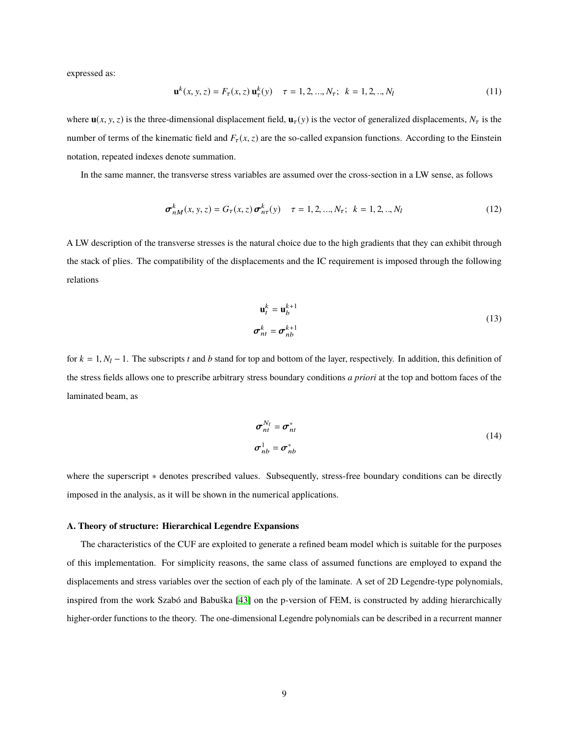expressed as:

$$
\mathbf{u}^{k}(x, y, z) = F_{\tau}(x, z) \mathbf{u}_{\tau}^{k}(y) \quad \tau = 1, 2, ..., N_{\tau}; \quad k = 1, 2, ..., N_{l}
$$
 (11)

where  $\mathbf{u}(x, y, z)$  is the three-dimensional displacement field,  $\mathbf{u}_\tau(y)$  is the vector of generalized displacements,  $N_\tau$  is the number of terms of the kinematic field and  $F_{\tau}(x, z)$  are the so-called expansion functions. According to the Einstein notation, repeated indexes denote summation.

In the same manner, the transverse stress variables are assumed over the cross-section in a LW sense, as follows

$$
\sigma_{nM}^{k}(x, y, z) = G_{\tau}(x, z) \sigma_{n\tau}^{k}(y) \quad \tau = 1, 2, ..., N_{\tau}; \quad k = 1, 2, ..., N_{l}
$$
 (12)

A LW description of the transverse stresses is the natural choice due to the high gradients that they can exhibit through the stack of plies. The compatibility of the displacements and the IC requirement is imposed through the following relations

$$
\mathbf{u}_t^k = \mathbf{u}_b^{k+1}
$$
  
\n
$$
\sigma_{nt}^k = \sigma_{nb}^{k+1}
$$
\n(13)

for  $k = 1, N_l - 1$ . The subscripts *t* and *b* stand for top and bottom of the layer, respectively. In addition, this definition of the stress fields allows one to prescribe arbitrary stress boundary conditions *a priori* at the top and bottom faces of the laminated beam, as

$$
\boldsymbol{\sigma}_{nt}^{N_l} = \boldsymbol{\sigma}_{nt}^*
$$
\n
$$
\boldsymbol{\sigma}_{nb}^1 = \boldsymbol{\sigma}_{nb}^*
$$
\n(14)

where the superscript \* denotes prescribed values. Subsequently, stress-free boundary conditions can be directly imposed in the analysis, as it will be shown in the numerical applications.

### **A. Theory of structure: Hierarchical Legendre Expansions**

The characteristics of the CUF are exploited to generate a refined beam model which is suitable for the purposes of this implementation. For simplicity reasons, the same class of assumed functions are employed to expand the displacements and stress variables over the section of each ply of the laminate. A set of 2D Legendre-type polynomials, inspired from the work Szabó and Babuška [43] on the p-version of FEM, is constructed by adding hierarchically higher-order functions to the theory. The one-dimensional Legendre polynomials can be described in a recurrent manner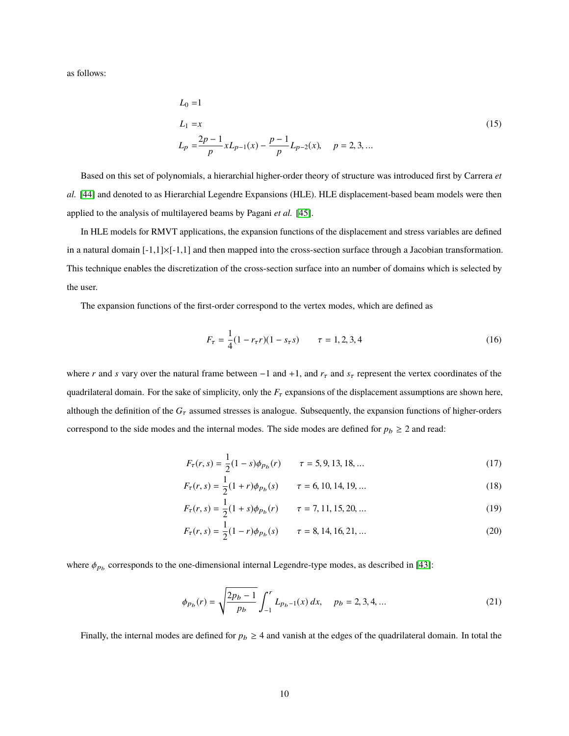as follows:

$$
L_0 = 1
$$
  
\n
$$
L_1 = x
$$
  
\n
$$
L_p = \frac{2p-1}{p} x L_{p-1}(x) - \frac{p-1}{p} L_{p-2}(x), \quad p = 2, 3, ...
$$
 (15)

Based on this set of polynomials, a hierarchial higher-order theory of structure was introduced first by Carrera *et al.* [44] and denoted to as Hierarchial Legendre Expansions (HLE). HLE displacement-based beam models were then applied to the analysis of multilayered beams by Pagani *et al.* [45].

In HLE models for RMVT applications, the expansion functions of the displacement and stress variables are defined in a natural domain  $[-1,1]\times[-1,1]$  and then mapped into the cross-section surface through a Jacobian transformation. This technique enables the discretization of the cross-section surface into an number of domains which is selected by the user.

The expansion functions of the first-order correspond to the vertex modes, which are defined as

$$
F_{\tau} = \frac{1}{4}(1 - r_{\tau}r)(1 - s_{\tau}s) \qquad \tau = 1, 2, 3, 4
$$
 (16)

where *r* and *s* vary over the natural frame between  $-1$  and  $+1$ , and  $r<sub>\tau</sub>$  and  $s<sub>\tau</sub>$  represent the vertex coordinates of the quadrilateral domain. For the sake of simplicity, only the  $F<sub>\tau</sub>$  expansions of the displacement assumptions are shown here, although the definition of the  $G<sub>\tau</sub>$  assumed stresses is analogue. Subsequently, the expansion functions of higher-orders correspond to the side modes and the internal modes. The side modes are defined for  $p_b \ge 2$  and read:

$$
F_{\tau}(r,s) = \frac{1}{2}(1-s)\phi_{Pb}(r) \qquad \tau = 5, 9, 13, 18, ... \qquad (17)
$$

$$
F_{\tau}(r,s) = \frac{1}{2}(1+r)\phi_{p_b}(s) \qquad \tau = 6, 10, 14, 19, ... \qquad (18)
$$

$$
F_{\tau}(r,s) = \frac{1}{2}(1+s)\phi_{Pb}(r) \qquad \tau = 7, 11, 15, 20, ... \qquad (19)
$$

$$
F_{\tau}(r,s) = \frac{1}{2}(1-r)\phi_{Pb}(s) \qquad \tau = 8, 14, 16, 21, ... \qquad (20)
$$

where  $\phi_{p_b}$  corresponds to the one-dimensional internal Legendre-type modes, as described in [43]:

$$
\phi_{p_b}(r) = \sqrt{\frac{2p_b - 1}{p_b}} \int_{-1}^{r} L_{p_b - 1}(x) dx, \quad p_b = 2, 3, 4, ... \tag{21}
$$

Finally, the internal modes are defined for  $p_b \geq 4$  and vanish at the edges of the quadrilateral domain. In total the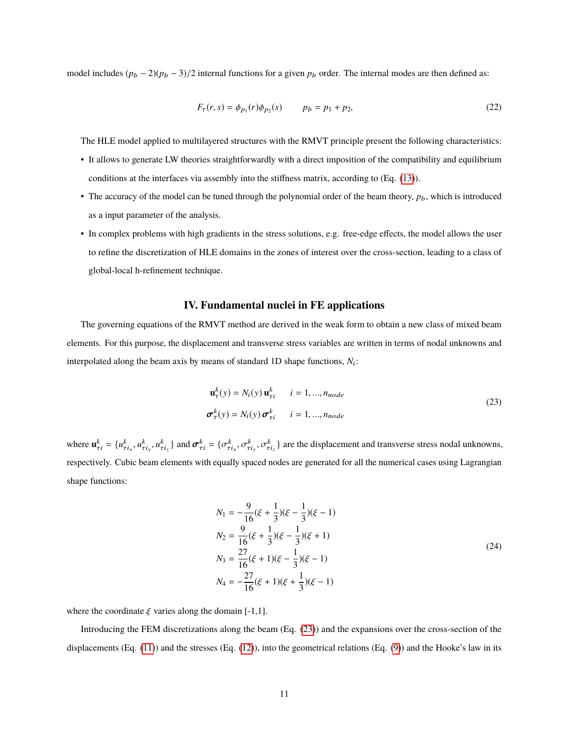model includes  $(p_b - 2)(p_b - 3)/2$  internal functions for a given  $p_b$  order. The internal modes are then defined as:

$$
F_{\tau}(r,s) = \phi_{p_1}(r)\phi_{p_2}(s) \qquad p_b = p_1 + p_2,
$$
\n(22)

The HLE model applied to multilayered structures with the RMVT principle present the following characteristics:

- It allows to generate LW theories straightforwardly with a direct imposition of the compatibility and equilibrium conditions at the interfaces via assembly into the stiffness matrix, according to (Eq. (13)).
- The accuracy of the model can be tuned through the polynomial order of the beam theory,  $p_b$ , which is introduced as a input parameter of the analysis.
- In complex problems with high gradients in the stress solutions, e.g. free-edge effects, the model allows the user to refine the discretization of HLE domains in the zones of interest over the cross-section, leading to a class of global-local h-refinement technique.

## **IV. Fundamental nuclei in FE applications**

The governing equations of the RMVT method are derived in the weak form to obtain a new class of mixed beam elements. For this purpose, the displacement and transverse stress variables are written in terms of nodal unknowns and interpolated along the beam axis by means of standard 1D shape functions,  $N_i$ :

$$
\mathbf{u}_{\tau}^{k}(y) = N_{i}(y) \mathbf{u}_{\tau i}^{k} \qquad i = 1, ..., n_{node}
$$
  

$$
\boldsymbol{\sigma}_{\tau}^{k}(y) = N_{i}(y) \boldsymbol{\sigma}_{\tau i}^{k} \qquad i = 1, ..., n_{node}
$$
 (23)

where  $\mathbf{u}_{\tau i}^k = \{u_{\tau i_x}^k, u_{\tau i_y}^k, u_{\tau i_z}^k\}$  and  $\boldsymbol{\sigma}_{\tau i}^k = \{\sigma_{\tau i_x}^k, \sigma_{\tau i_y}^k, \sigma_{\tau i_z}^k\}$  are the displacement and transverse stress nodal unknowns, respectively. Cubic beam elements with equally spaced nodes are generated for all the numerical cases using Lagrangian shape functions:

$$
N_1 = -\frac{9}{16}(\xi + \frac{1}{3})(\xi - \frac{1}{3})(\xi - 1)
$$
  
\n
$$
N_2 = \frac{9}{16}(\xi + \frac{1}{3})(\xi - \frac{1}{3})(\xi + 1)
$$
  
\n
$$
N_3 = \frac{27}{16}(\xi + 1)(\xi - \frac{1}{3})(\xi - 1)
$$
  
\n
$$
N_4 = -\frac{27}{16}(\xi + 1)(\xi + \frac{1}{3})(\xi - 1)
$$
\n(24)

where the coordinate  $\xi$  varies along the domain [-1,1].

Introducing the FEM discretizations along the beam (Eq. (23)) and the expansions over the cross-section of the displacements  $(Eq. (11))$  and the stresses  $(Eq. (12))$ , into the geometrical relations  $(Eq. (9))$  and the Hooke's law in its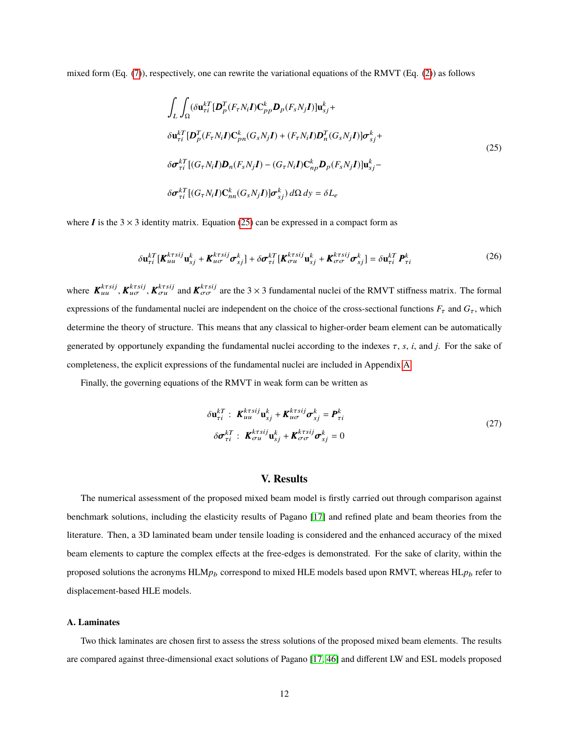mixed form (Eq. (7)), respectively, one can rewrite the variational equations of the RMVT (Eq. (2)) as follows

$$
\int_{L} \int_{\Omega} (\delta \mathbf{u}_{\tau i}^{kT} [\mathbf{D}_{p}^{T} (F_{\tau} N_{i} \mathbf{I}) \mathbf{C}_{pp}^{k} \mathbf{D}_{p} (F_{s} N_{j} \mathbf{I})] \mathbf{u}_{sj}^{k} +
$$
\n
$$
\delta \mathbf{u}_{\tau i}^{kT} [\mathbf{D}_{p}^{T} (F_{\tau} N_{i} \mathbf{I}) \mathbf{C}_{pn}^{k} (G_{s} N_{j} \mathbf{I}) + (F_{\tau} N_{i} \mathbf{I}) \mathbf{D}_{n}^{T} (G_{s} N_{j} \mathbf{I})] \sigma_{sj}^{k} +
$$
\n
$$
\delta \sigma_{\tau i}^{kT} [ (G_{\tau} N_{i} \mathbf{I}) \mathbf{D}_{n} (F_{s} N_{j} \mathbf{I}) - (G_{\tau} N_{i} \mathbf{I}) \mathbf{C}_{np}^{k} \mathbf{D}_{p} (F_{s} N_{j} \mathbf{I})] \mathbf{u}_{sj}^{k} -
$$
\n
$$
\delta \sigma_{\tau i}^{kT} [ (G_{\tau} N_{i} \mathbf{I}) \mathbf{C}_{nn}^{k} (G_{s} N_{j} \mathbf{I})] \sigma_{sj}^{k} ) d\Omega dy = \delta L_{e}
$$
\n(25)

where  $\bm{I}$  is the 3  $\times$  3 identity matrix. Equation (25) can be expressed in a compact form as

$$
\delta \mathbf{u}_{\tau i}^{kT} [\mathbf{K}_{uu}^{k\tau sij} \mathbf{u}_{sj}^k + \mathbf{K}_{u\sigma}^{k\tau sij} \boldsymbol{\sigma}_{sj}^k] + \delta \boldsymbol{\sigma}_{\tau i}^{kT} [\mathbf{K}_{\sigma u}^{k\tau sij} \mathbf{u}_{sj}^k + \mathbf{K}_{\sigma \sigma}^{k\tau sij} \boldsymbol{\sigma}_{sj}^k] = \delta \mathbf{u}_{\tau i}^{kT} \boldsymbol{P}_{\tau i}^k
$$
(26)

where  $K_{uu}^{k\tau sij}$ ,  $K_{u\sigma}^{k\tau sij}$  and  $K_{\sigma\sigma}^{k\tau sij}$  are the 3 × 3 fundamental nuclei of the RMVT stiffness matrix. The formal expressions of the fundamental nuclei are independent on the choice of the cross-sectional functions  $F_\tau$  and  $G_\tau$ , which determine the theory of structure. This means that any classical to higher-order beam element can be automatically generated by opportunely expanding the fundamental nuclei according to the indexes τ, *<sup>s</sup>*, *<sup>i</sup>*, and *<sup>j</sup>*. For the sake of completeness, the explicit expressions of the fundamental nuclei are included in Appendix A.

Finally, the governing equations of the RMVT in weak form can be written as

$$
\delta \mathbf{u}_{\tau i}^{kT} : \boldsymbol{K}_{uu}^{k\tau s i j} \mathbf{u}_{sj}^{k} + \boldsymbol{K}_{u\sigma}^{k\tau s i j} \boldsymbol{\sigma}_{sj}^{k} = \boldsymbol{P}_{\tau i}^{k}
$$
\n
$$
\delta \boldsymbol{\sigma}_{\tau i}^{kT} : \boldsymbol{K}_{\sigma u}^{k\tau s i j} \mathbf{u}_{sj}^{k} + \boldsymbol{K}_{\sigma \sigma}^{k\tau s i j} \boldsymbol{\sigma}_{sj}^{k} = 0
$$
\n(27)

## **V. Results**

The numerical assessment of the proposed mixed beam model is firstly carried out through comparison against benchmark solutions, including the elasticity results of Pagano [17] and refined plate and beam theories from the literature. Then, a 3D laminated beam under tensile loading is considered and the enhanced accuracy of the mixed beam elements to capture the complex effects at the free-edges is demonstrated. For the sake of clarity, within the proposed solutions the acronyms HLM<sub>*p*b</sub> correspond to mixed HLE models based upon RMVT, whereas HL<sub>*pb*</sub> refer to displacement-based HLE models.

#### **A. Laminates**

Two thick laminates are chosen first to assess the stress solutions of the proposed mixed beam elements. The results are compared against three-dimensional exact solutions of Pagano [17, 46] and different LW and ESL models proposed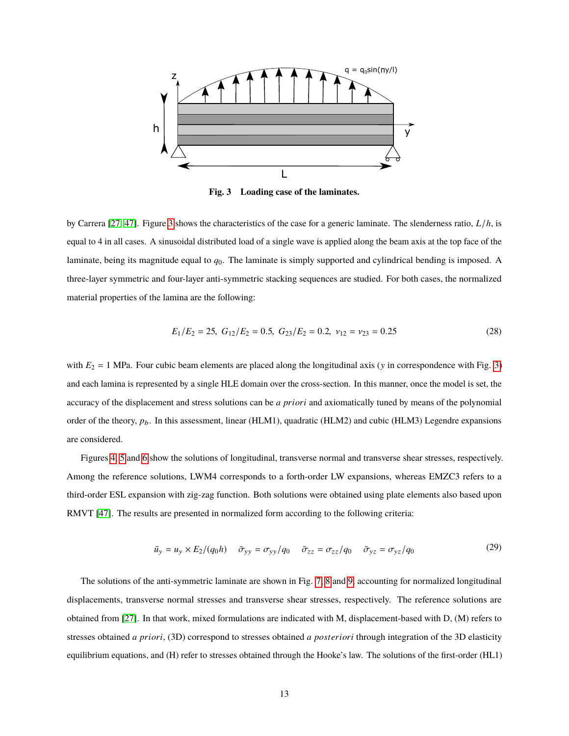

**Fig. 3 Loading case of the laminates.**

by Carrera [27, 47]. Figure 3 shows the characteristics of the case for a generic laminate. The slenderness ratio, *L*/*h*, is equal to 4 in all cases. A sinusoidal distributed load of a single wave is applied along the beam axis at the top face of the laminate, being its magnitude equal to *q*0. The laminate is simply supported and cylindrical bending is imposed. A three-layer symmetric and four-layer anti-symmetric stacking sequences are studied. For both cases, the normalized material properties of the lamina are the following:

$$
E_1/E_2 = 25, G_{12}/E_2 = 0.5, G_{23}/E_2 = 0.2, \nu_{12} = \nu_{23} = 0.25
$$
 (28)

with  $E_2 = 1$  MPa. Four cubic beam elements are placed along the longitudinal axis (y in correspondence with Fig. 3) and each lamina is represented by a single HLE domain over the cross-section. In this manner, once the model is set, the accuracy of the displacement and stress solutions can be *a priori* and axiomatically tuned by means of the polynomial order of the theory,  $p_b$ . In this assessment, linear (HLM1), quadratic (HLM2) and cubic (HLM3) Legendre expansions are considered.

Figures 4, 5 and 6 show the solutions of longitudinal, transverse normal and transverse shear stresses, respectively. Among the reference solutions, LWM4 corresponds to a forth-order LW expansions, whereas EMZC3 refers to a third-order ESL expansion with zig-zag function. Both solutions were obtained using plate elements also based upon RMVT [47]. The results are presented in normalized form according to the following criteria:

$$
\bar{u}_y = u_y \times E_2/(q_0 h) \quad \bar{\sigma}_{yy} = \sigma_{yy}/q_0 \quad \bar{\sigma}_{zz} = \sigma_{zz}/q_0 \quad \bar{\sigma}_{yz} = \sigma_{yz}/q_0 \tag{29}
$$

The solutions of the anti-symmetric laminate are shown in Fig. 7, 8 and 9, accounting for normalized longitudinal displacements, transverse normal stresses and transverse shear stresses, respectively. The reference solutions are obtained from [27]. In that work, mixed formulations are indicated with M, displacement-based with D, (M) refers to stresses obtained *a priori*, (3D) correspond to stresses obtained *a posteriori* through integration of the 3D elasticity equilibrium equations, and (H) refer to stresses obtained through the Hooke's law. The solutions of the first-order (HL1)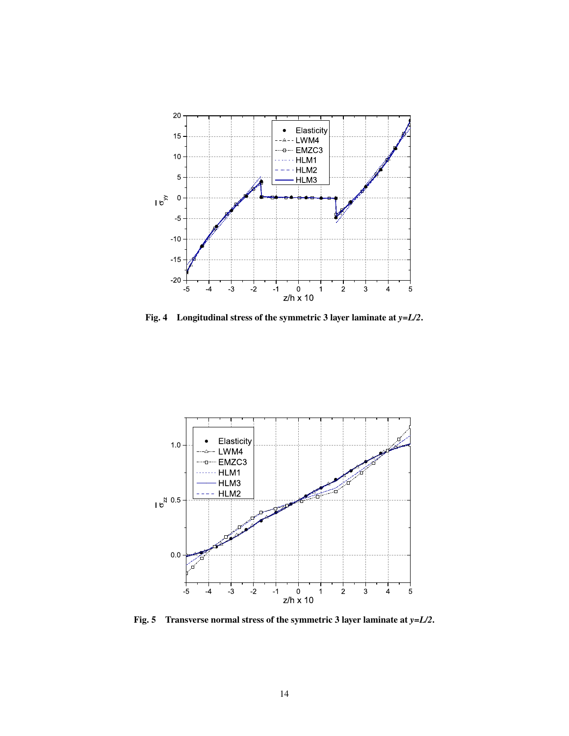

**Fig. 4 Longitudinal stress of the symmetric 3 layer laminate at** *y=L/2***.**



**Fig. 5 Transverse normal stress of the symmetric 3 layer laminate at** *y=L/2***.**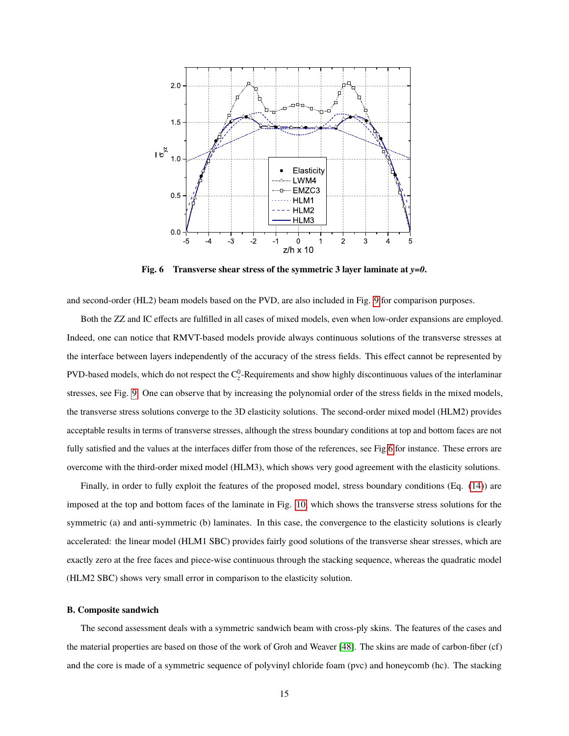

**Fig. 6 Transverse shear stress of the symmetric 3 layer laminate at** *y=0***.**

and second-order (HL2) beam models based on the PVD, are also included in Fig. 9 for comparison purposes.

Both the ZZ and IC effects are fulfilled in all cases of mixed models, even when low-order expansions are employed. Indeed, one can notice that RMVT-based models provide always continuous solutions of the transverse stresses at the interface between layers independently of the accuracy of the stress fields. This effect cannot be represented by PVD-based models, which do not respect the  $C_2^0$ -Requirements and show highly discontinuous values of the interlaminar stresses, see Fig. 9. One can observe that by increasing the polynomial order of the stress fields in the mixed models, the transverse stress solutions converge to the 3D elasticity solutions. The second-order mixed model (HLM2) provides acceptable results in terms of transverse stresses, although the stress boundary conditions at top and bottom faces are not fully satisfied and the values at the interfaces differ from those of the references, see Fig.6 for instance. These errors are overcome with the third-order mixed model (HLM3), which shows very good agreement with the elasticity solutions.

Finally, in order to fully exploit the features of the proposed model, stress boundary conditions (Eq. (14)) are imposed at the top and bottom faces of the laminate in Fig. 10, which shows the transverse stress solutions for the symmetric (a) and anti-symmetric (b) laminates. In this case, the convergence to the elasticity solutions is clearly accelerated: the linear model (HLM1 SBC) provides fairly good solutions of the transverse shear stresses, which are exactly zero at the free faces and piece-wise continuous through the stacking sequence, whereas the quadratic model (HLM2 SBC) shows very small error in comparison to the elasticity solution.

#### **B. Composite sandwich**

The second assessment deals with a symmetric sandwich beam with cross-ply skins. The features of the cases and the material properties are based on those of the work of Groh and Weaver [48]. The skins are made of carbon-fiber (cf) and the core is made of a symmetric sequence of polyvinyl chloride foam (pvc) and honeycomb (hc). The stacking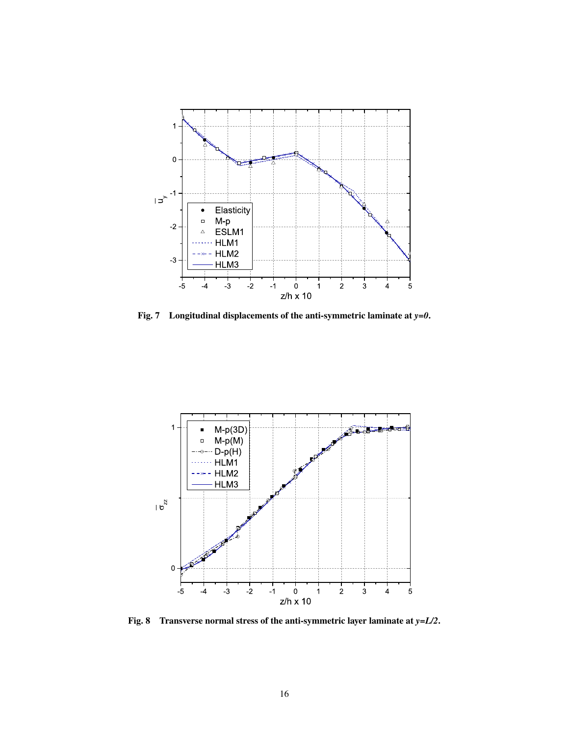

**Fig. 7 Longitudinal displacements of the anti-symmetric laminate at** *y=0***.**



**Fig. 8 Transverse normal stress of the anti-symmetric layer laminate at** *y=L/2***.**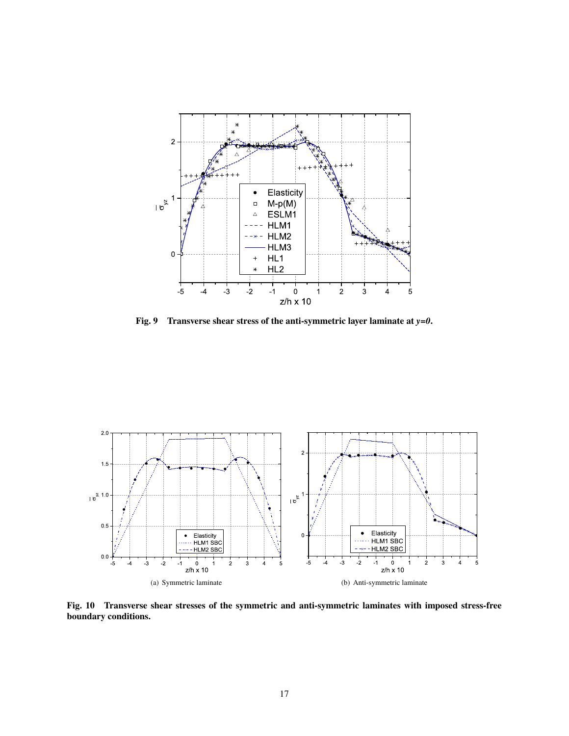

**Fig. 9 Transverse shear stress of the anti-symmetric layer laminate at** *y=0***.**



**Fig. 10 Transverse shear stresses of the symmetric and anti-symmetric laminates with imposed stress-free boundary conditions.**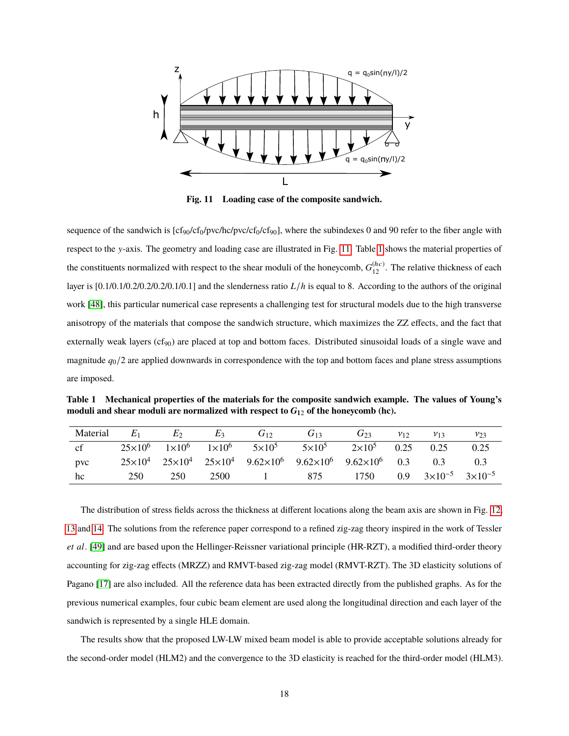

**Fig. 11 Loading case of the composite sandwich.**

sequence of the sandwich is  $[cf_{90}/cf_{0}/prc/hc/pvc/cf_{9}/cf_{90}]$ , where the subindexes 0 and 90 refer to the fiber angle with respect to the y-axis. The geometry and loading case are illustrated in Fig. 11. Table 1 shows the material properties of the constituents normalized with respect to the shear moduli of the honeycomb,  $G_{12}^{(hc)}$ . The relative thickness of each layer is  $[0.1/0.1/0.2/0.2/0.2/0.1/0.1]$  and the slenderness ratio  $L/h$  is equal to 8. According to the authors of the original work [48], this particular numerical case represents a challenging test for structural models due to the high transverse anisotropy of the materials that compose the sandwich structure, which maximizes the ZZ effects, and the fact that externally weak layers (cf<sub>90</sub>) are placed at top and bottom faces. Distributed sinusoidal loads of a single wave and magnitude *q*0/2 are applied downwards in correspondence with the top and bottom faces and plane stress assumptions are imposed.

**Table 1 Mechanical properties of the materials for the composite sandwich example. The values of Young's moduli and shear moduli are normalized with respect to** *G*<sup>12</sup> **of the honeycomb (hc).**

| Material | $E_1$ | $E_2$                                            | E3   | $G_{12}$                                                                                                    | $G_{13}$      | $G_{23}$      | $v_{12}$         | $v_{13}$         | $v_{23}$         |
|----------|-------|--------------------------------------------------|------|-------------------------------------------------------------------------------------------------------------|---------------|---------------|------------------|------------------|------------------|
| cf       |       | $25\times10^{6}$ $1\times10^{6}$ $1\times10^{6}$ |      | $5\times10^5$                                                                                               | $5\times10^5$ | $2\times10^5$ | 0.25             | 0.25             | 0.25             |
| pvc      |       |                                                  |      | $25\times10^{4}$ $25\times10^{4}$ $25\times10^{4}$ $9.62\times10^{6}$ $9.62\times10^{6}$ $9.62\times10^{6}$ |               |               | 0.3              | 0.3              | 0.3              |
| hc       | 250   | 250                                              | 2500 |                                                                                                             | 875           | 1750          | 0.9 <sup>°</sup> | $3\times10^{-5}$ | $3\times10^{-5}$ |

The distribution of stress fields across the thickness at different locations along the beam axis are shown in Fig. 12, 13 and 14. The solutions from the reference paper correspond to a refined zig-zag theory inspired in the work of Tessler *et al*. [49] and are based upon the Hellinger-Reissner variational principle (HR-RZT), a modified third-order theory accounting for zig-zag effects (MRZZ) and RMVT-based zig-zag model (RMVT-RZT). The 3D elasticity solutions of Pagano [17] are also included. All the reference data has been extracted directly from the published graphs. As for the previous numerical examples, four cubic beam element are used along the longitudinal direction and each layer of the sandwich is represented by a single HLE domain.

The results show that the proposed LW-LW mixed beam model is able to provide acceptable solutions already for the second-order model (HLM2) and the convergence to the 3D elasticity is reached for the third-order model (HLM3).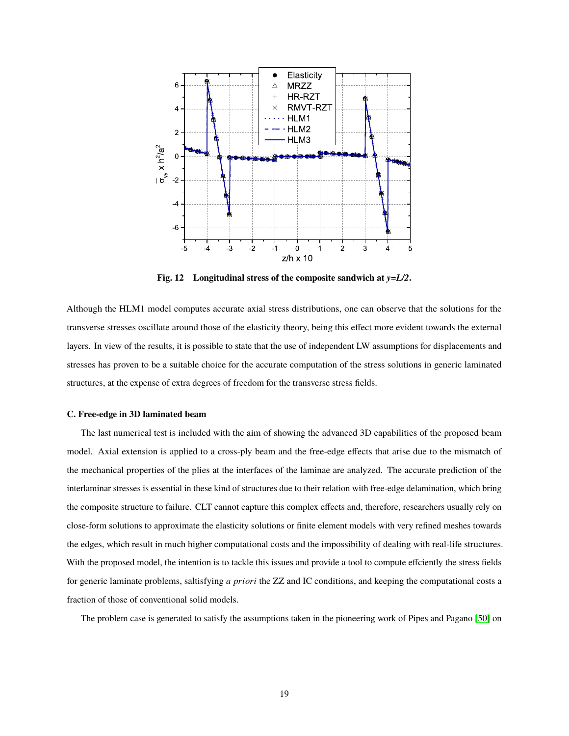

**Fig. 12 Longitudinal stress of the composite sandwich at** *y=L/2***.**

Although the HLM1 model computes accurate axial stress distributions, one can observe that the solutions for the transverse stresses oscillate around those of the elasticity theory, being this effect more evident towards the external layers. In view of the results, it is possible to state that the use of independent LW assumptions for displacements and stresses has proven to be a suitable choice for the accurate computation of the stress solutions in generic laminated structures, at the expense of extra degrees of freedom for the transverse stress fields.

#### **C. Free-edge in 3D laminated beam**

The last numerical test is included with the aim of showing the advanced 3D capabilities of the proposed beam model. Axial extension is applied to a cross-ply beam and the free-edge effects that arise due to the mismatch of the mechanical properties of the plies at the interfaces of the laminae are analyzed. The accurate prediction of the interlaminar stresses is essential in these kind of structures due to their relation with free-edge delamination, which bring the composite structure to failure. CLT cannot capture this complex effects and, therefore, researchers usually rely on close-form solutions to approximate the elasticity solutions or finite element models with very refined meshes towards the edges, which result in much higher computational costs and the impossibility of dealing with real-life structures. With the proposed model, the intention is to tackle this issues and provide a tool to compute effciently the stress fields for generic laminate problems, saltisfying *a priori* the ZZ and IC conditions, and keeping the computational costs a fraction of those of conventional solid models.

The problem case is generated to satisfy the assumptions taken in the pioneering work of Pipes and Pagano [50] on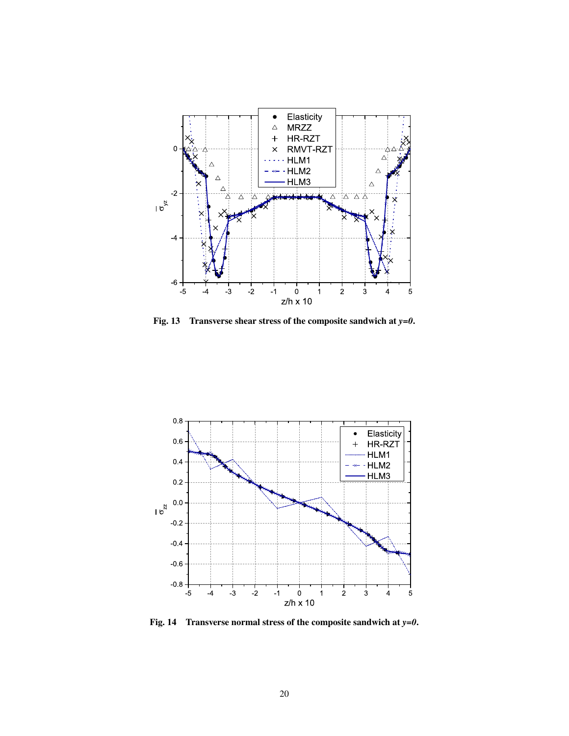

**Fig. 13 Transverse shear stress of the composite sandwich at** *y=0***.**



**Fig. 14 Transverse normal stress of the composite sandwich at** *y=0***.**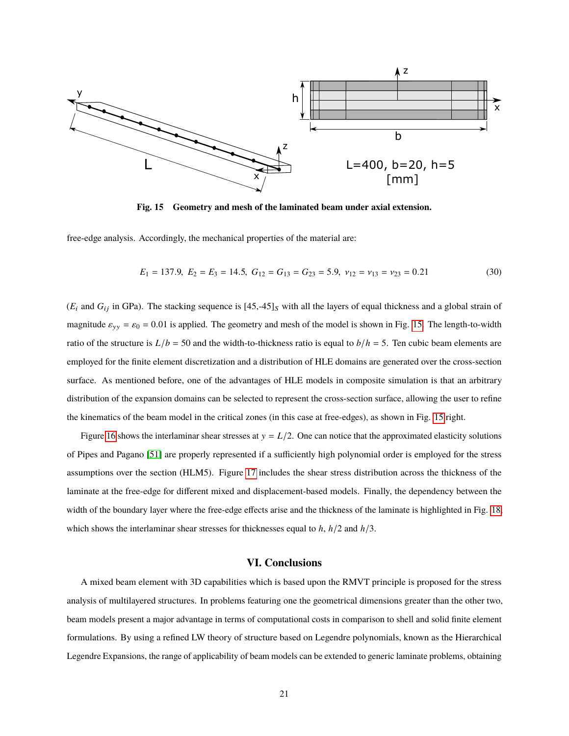

**Fig. 15 Geometry and mesh of the laminated beam under axial extension.**

free-edge analysis. Accordingly, the mechanical properties of the material are:

$$
E_1 = 137.9, \ E_2 = E_3 = 14.5, \ G_{12} = G_{13} = G_{23} = 5.9, \ \nu_{12} = \nu_{13} = \nu_{23} = 0.21 \tag{30}
$$

 $(E_i$  and  $G_{ij}$  in GPa). The stacking sequence is  $[45, -45]_S$  with all the layers of equal thickness and a global strain of magnitude  $\varepsilon_{yy} = \varepsilon_0 = 0.01$  is applied. The geometry and mesh of the model is shown in Fig. 15. The length-to-width ratio of the structure is  $L/b = 50$  and the width-to-thickness ratio is equal to  $b/h = 5$ . Ten cubic beam elements are employed for the finite element discretization and a distribution of HLE domains are generated over the cross-section surface. As mentioned before, one of the advantages of HLE models in composite simulation is that an arbitrary distribution of the expansion domains can be selected to represent the cross-section surface, allowing the user to refine the kinematics of the beam model in the critical zones (in this case at free-edges), as shown in Fig. 15 right.

Figure 16 shows the interlaminar shear stresses at  $y = L/2$ . One can notice that the approximated elasticity solutions of Pipes and Pagano [51] are properly represented if a sufficiently high polynomial order is employed for the stress assumptions over the section (HLM5). Figure 17 includes the shear stress distribution across the thickness of the laminate at the free-edge for different mixed and displacement-based models. Finally, the dependency between the width of the boundary layer where the free-edge effects arise and the thickness of the laminate is highlighted in Fig. 18, which shows the interlaminar shear stresses for thicknesses equal to *h*, *h*/2 and *h*/3.

### **VI. Conclusions**

A mixed beam element with 3D capabilities which is based upon the RMVT principle is proposed for the stress analysis of multilayered structures. In problems featuring one the geometrical dimensions greater than the other two, beam models present a major advantage in terms of computational costs in comparison to shell and solid finite element formulations. By using a refined LW theory of structure based on Legendre polynomials, known as the Hierarchical Legendre Expansions, the range of applicability of beam models can be extended to generic laminate problems, obtaining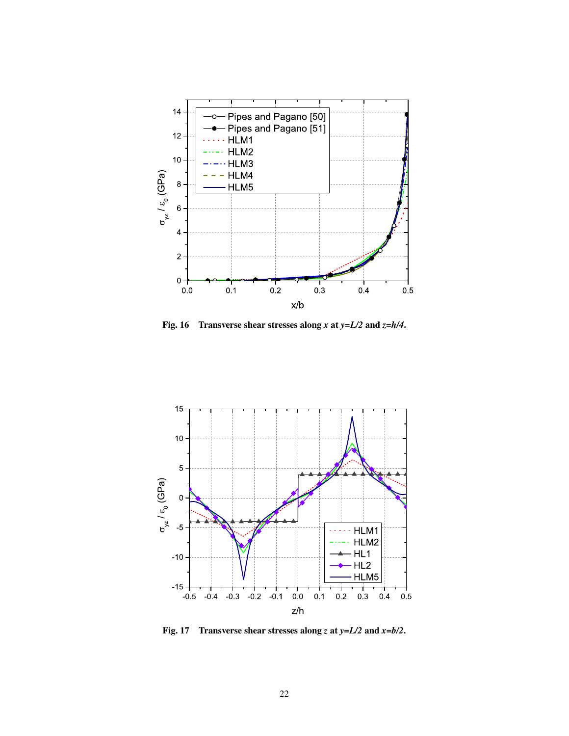

**Fig. 16 Transverse shear stresses along** *x* **at** *y=L/2* **and** *z=h/4***.**



**Fig. 17 Transverse shear stresses along** *z* **at** *y=L/2* **and** *x=b/2***.**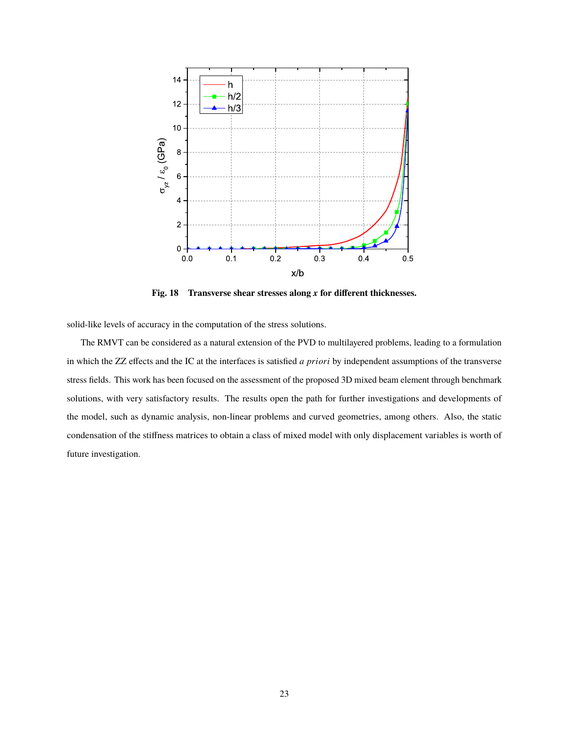

**Fig. 18 Transverse shear stresses along** *x* **for different thicknesses.**

solid-like levels of accuracy in the computation of the stress solutions.

The RMVT can be considered as a natural extension of the PVD to multilayered problems, leading to a formulation in which the ZZ effects and the IC at the interfaces is satisfied *a priori* by independent assumptions of the transverse stress fields. This work has been focused on the assessment of the proposed 3D mixed beam element through benchmark solutions, with very satisfactory results. The results open the path for further investigations and developments of the model, such as dynamic analysis, non-linear problems and curved geometries, among others. Also, the static condensation of the stiffness matrices to obtain a class of mixed model with only displacement variables is worth of future investigation.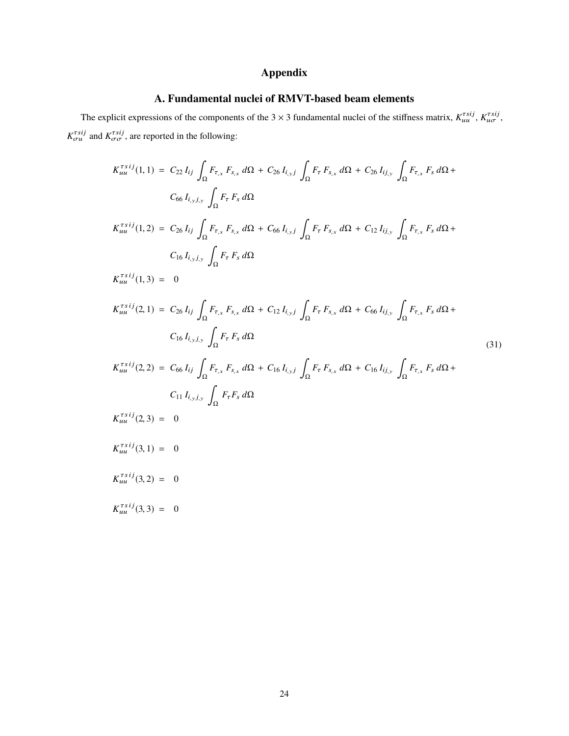# **Appendix**

# **A. Fundamental nuclei of RMVT-based beam elements**

The explicit expressions of the components of the 3  $\times$  3 fundamental nuclei of the stiffness matrix,  $K_{uu}^{rsij}$ ,  $K_{u\sigma}^{rsij}$ ,  $K_{\sigma u}^{\tau s i j}$  and  $K_{\sigma \sigma}^{\tau s i j}$ , are reported in the following:

$$
K_{uu}^{rsij}(1,1) = C_{22} I_{ij} \int_{\Omega} F_{\tau,x} F_{s,x} d\Omega + C_{26} I_{i,yj} \int_{\Omega} F_{\tau} F_{s,x} d\Omega + C_{26} I_{i,j} \int_{\Omega} F_{\tau,x} F_{s} d\Omega + C_{26} I_{i,y} \int_{\Omega} F_{\tau,x} F_{s} d\Omega + C_{66} I_{i,yj} \int_{\Omega} F_{\tau} F_{s} d\Omega
$$
  
\n
$$
K_{uu}^{rsij}(1,2) = C_{26} I_{ij} \int_{\Omega} F_{\tau,x} F_{s,x} d\Omega + C_{66} I_{i,yj} \int_{\Omega} F_{\tau} F_{s,x} d\Omega + C_{12} I_{i,j} \int_{\Omega} F_{\tau,x} F_{s} d\Omega + C_{16} I_{i,yj} \int_{\Omega} F_{\tau} F_{s} d\Omega
$$
  
\n
$$
K_{uu}^{rsij}(1,3) = 0
$$
  
\n
$$
K_{uu}^{rsij}(2,1) = C_{26} I_{ij} \int_{\Omega} F_{\tau,x} F_{s,x} d\Omega + C_{12} I_{i,yj} \int_{\Omega} F_{\tau} F_{s,x} d\Omega + C_{66} I_{i,j} \int_{\Omega} F_{\tau,x} F_{s} d\Omega + C_{16} I_{i,yj} \int_{\Omega} F_{\tau} F_{s} d\Omega + C_{16} I_{i,yj} \int_{\Omega} F_{\tau,x} F_{s} d\Omega + C_{11} I_{i,yj} \int_{\Omega} F_{\tau} F_{s} d\Omega
$$
  
\n(31)  
\n
$$
K_{uu}^{rsij}(2,2) = C_{66} I_{ij} \int_{\Omega} F_{\tau,x} F_{s,x} d\Omega + C_{16} I_{i,yj} \int_{\Omega} F_{\tau} F_{s,x} d\Omega + C_{16} I_{i,j} \int_{\Omega} F_{\tau,x} F_{s} d\Omega + C_{11} I_{i,yj} \int_{\Omega} F_{\tau} F_{s} d\Omega
$$
  
\n
$$
K_{uu}^{rsij}(3,1) = 0
$$
  
\n
$$
K_{uu}^{rsij}(3,1) = 0
$$
  
\n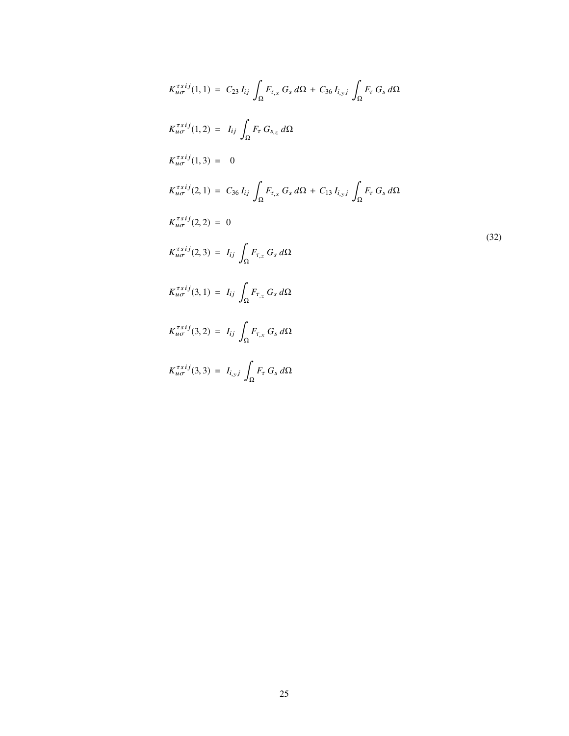$$
K_{u\sigma}^{rsij}(1,1) = C_{23} I_{ij} \int_{\Omega} F_{\tau,x} G_s d\Omega + C_{36} I_{i,yj} \int_{\Omega} F_{\tau} G_s d\Omega
$$
  
\n
$$
K_{u\sigma}^{rsij}(1,2) = I_{ij} \int_{\Omega} F_{\tau} G_{s,z} d\Omega
$$
  
\n
$$
K_{u\sigma}^{rsij}(1,3) = 0
$$
  
\n
$$
K_{u\sigma}^{rsij}(2,1) = C_{36} I_{ij} \int_{\Omega} F_{\tau,x} G_s d\Omega + C_{13} I_{i,yj} \int_{\Omega} F_{\tau} G_s d\Omega
$$
  
\n
$$
K_{u\sigma}^{rsij}(2,2) = 0
$$
  
\n
$$
K_{u\sigma}^{rsij}(2,3) = I_{ij} \int_{\Omega} F_{\tau,z} G_s d\Omega
$$
  
\n
$$
K_{u\sigma}^{rsij}(3,1) = I_{ij} \int_{\Omega} F_{\tau,z} G_s d\Omega
$$
  
\n
$$
K_{u\sigma}^{rsij}(3,2) = I_{ij} \int_{\Omega} F_{\tau,x} G_s d\Omega
$$
  
\n
$$
K_{u\sigma}^{rsij}(3,3) = I_{i,yj} \int_{\Omega} F_{\tau} G_s d\Omega
$$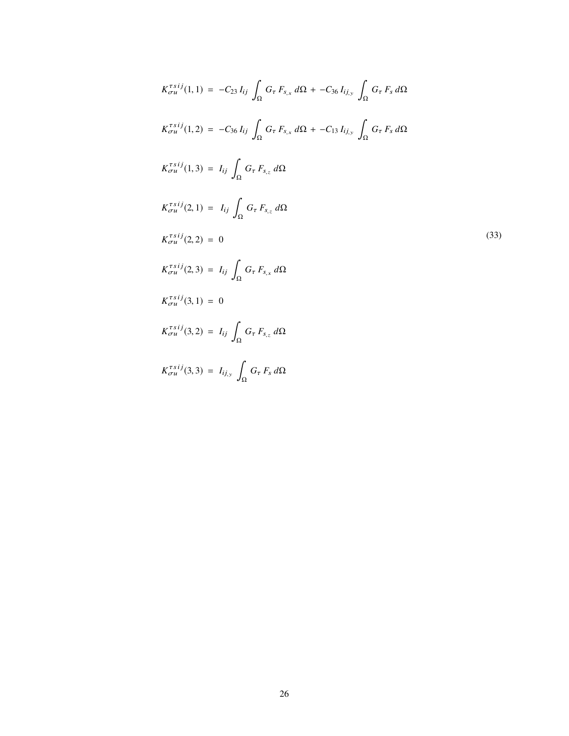$$
K_{\sigma u}^{\tau s i j}(1,1) = -C_{23} I_{ij} \int_{\Omega} G_{\tau} F_{s,x} d\Omega + -C_{36} I_{ij,y} \int_{\Omega} G_{\tau} F_s d\Omega
$$
  
\n
$$
K_{\sigma u}^{\tau s i j}(1,2) = -C_{36} I_{ij} \int_{\Omega} G_{\tau} F_{s,x} d\Omega + -C_{13} I_{ij,y} \int_{\Omega} G_{\tau} F_s d\Omega
$$
  
\n
$$
K_{\sigma u}^{\tau s i j}(1,3) = I_{ij} \int_{\Omega} G_{\tau} F_{s,z} d\Omega
$$
  
\n
$$
K_{\sigma u}^{\tau s i j}(2,1) = I_{ij} \int_{\Omega} G_{\tau} F_{s,z} d\Omega
$$
  
\n
$$
K_{\sigma u}^{\tau s i j}(2,2) = 0
$$
  
\n
$$
K_{\sigma u}^{\tau s i j}(3,1) = 0
$$
  
\n
$$
K_{\sigma u}^{\tau s i j}(3,1) = 0
$$
  
\n
$$
K_{\sigma u}^{\tau s i j}(3,2) = I_{ij} \int_{\Omega} G_{\tau} F_{s,x} d\Omega
$$
  
\n
$$
K_{\sigma u}^{\tau s i j}(3,3) = I_{ij} \int_{\Omega} G_{\tau} F_{s,z} d\Omega
$$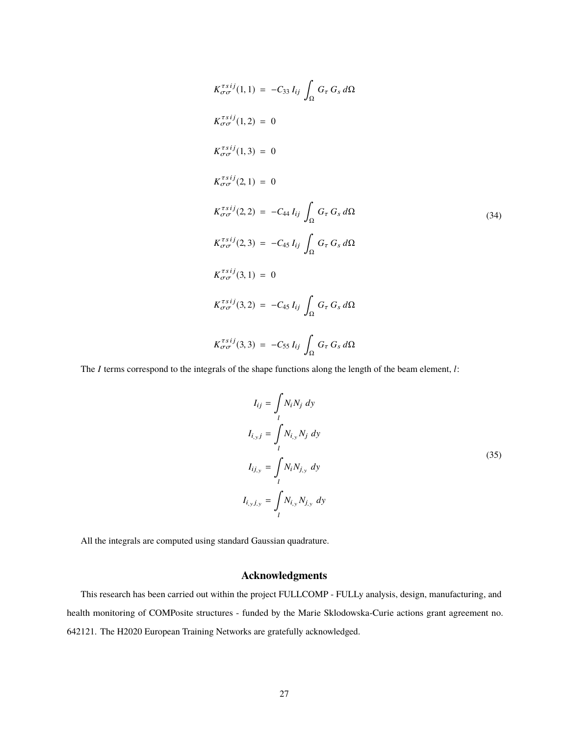$$
K_{\sigma\sigma}^{\tau s i j}(1,1) = -C_{33} I_{ij} \int_{\Omega} G_{\tau} G_{s} d\Omega
$$
  
\n
$$
K_{\sigma\sigma}^{\tau s i j}(1,2) = 0
$$
  
\n
$$
K_{\sigma\sigma}^{\tau s i j}(2,1) = 0
$$
  
\n
$$
K_{\sigma\sigma}^{\tau s i j}(2,1) = 0
$$
  
\n
$$
K_{\sigma\sigma}^{\tau s i j}(2,2) = -C_{44} I_{ij} \int_{\Omega} G_{\tau} G_{s} d\Omega
$$
  
\n
$$
K_{\sigma\sigma}^{\tau s i j}(2,3) = -C_{45} I_{ij} \int_{\Omega} G_{\tau} G_{s} d\Omega
$$
  
\n
$$
K_{\sigma\sigma}^{\tau s i j}(3,1) = 0
$$
  
\n
$$
K_{\sigma\sigma}^{\tau s i j}(3,2) = -C_{45} I_{ij} \int_{\Omega} G_{\tau} G_{s} d\Omega
$$
  
\n
$$
K_{\sigma\sigma}^{\tau s i j}(3,3) = -C_{55} I_{ij} \int_{\Omega} G_{\tau} G_{s} d\Omega
$$

The *I* terms correspond to the integrals of the shape functions along the length of the beam element, *l*:

$$
I_{ij} = \int_{l} N_i N_j \, dy
$$
  
\n
$$
I_{i,y,j} = \int_{l} N_{i,y} N_j \, dy
$$
  
\n
$$
I_{ij,y} = \int_{l} N_i N_{j,y} \, dy
$$
  
\n
$$
I_{i,y,j,y} = \int_{l} N_{i,y} N_{j,y} \, dy
$$
\n(35)

All the integrals are computed using standard Gaussian quadrature.

# **Acknowledgments**

This research has been carried out within the project FULLCOMP - FULLy analysis, design, manufacturing, and health monitoring of COMPosite structures - funded by the Marie Sklodowska-Curie actions grant agreement no. 642121. The H2020 European Training Networks are gratefully acknowledged.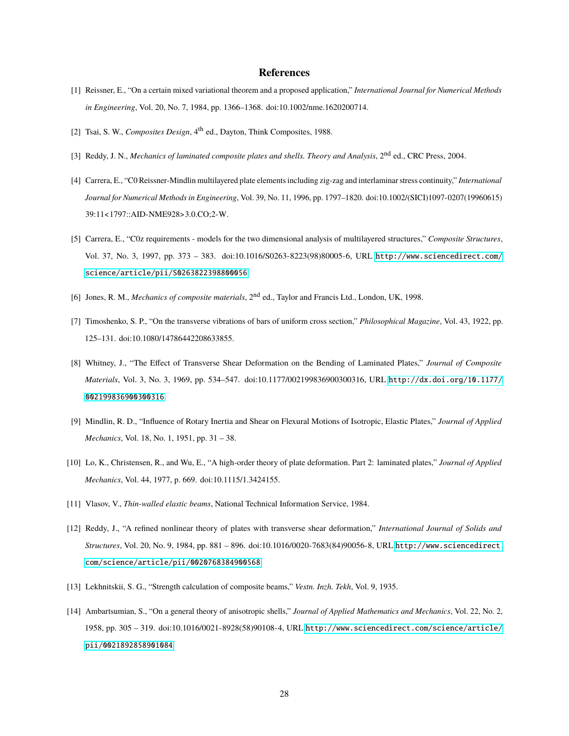# **References**

- [1] Reissner, E., "On a certain mixed variational theorem and a proposed application," *International Journal for Numerical Methods in Engineering*, Vol. 20, No. 7, 1984, pp. 1366–1368. doi:10.1002/nme.1620200714.
- [2] Tsai, S. W., *Composites Design*, 4<sup>th</sup> ed., Dayton, Think Composites, 1988.
- [3] Reddy, J. N., *Mechanics of laminated composite plates and shells. Theory and Analysis*, 2<sup>nd</sup> ed., CRC Press, 2004.
- [4] Carrera, E., "C0 Reissner-Mindlin multilayered plate elements including zig-zag and interlaminar stress continuity," *International Journal for Numerical Methods in Engineering*, Vol. 39, No. 11, 1996, pp. 1797–1820. doi:10.1002/(SICI)1097-0207(19960615) 39:11<1797::AID-NME928>3.0.CO;2-W.
- [5] Carrera, E., "C0z requirements models for the two dimensional analysis of multilayered structures," *Composite Structures*, Vol. 37, No. 3, 1997, pp. 373 – 383. doi:10.1016/S0263-8223(98)80005-6, URL [http://www.sciencedirect.com/](http://www.sciencedirect.com/science/article/pii/S0263822398800056) [science/article/pii/S0263822398800056](http://www.sciencedirect.com/science/article/pii/S0263822398800056).
- [6] Jones, R. M., *Mechanics of composite materials*, 2nd ed., Taylor and Francis Ltd., London, UK, 1998.
- [7] Timoshenko, S. P., "On the transverse vibrations of bars of uniform cross section," *Philosophical Magazine*, Vol. 43, 1922, pp. 125–131. doi:10.1080/14786442208633855.
- [8] Whitney, J., "The Effect of Transverse Shear Deformation on the Bending of Laminated Plates," *Journal of Composite Materials*, Vol. 3, No. 3, 1969, pp. 534–547. doi:10.1177/002199836900300316, URL [http://dx.doi.org/10.1177/](http://dx.doi.org/10.1177/002199836900300316) [002199836900300316](http://dx.doi.org/10.1177/002199836900300316).
- [9] Mindlin, R. D., "Influence of Rotary Inertia and Shear on Flexural Motions of Isotropic, Elastic Plates," *Journal of Applied Mechanics*, Vol. 18, No. 1, 1951, pp. 31 – 38.
- [10] Lo, K., Christensen, R., and Wu, E., "A high-order theory of plate deformation. Part 2: laminated plates," *Journal of Applied Mechanics*, Vol. 44, 1977, p. 669. doi:10.1115/1.3424155.
- [11] Vlasov, V., *Thin-walled elastic beams*, National Technical Information Service, 1984.
- [12] Reddy, J., "A refined nonlinear theory of plates with transverse shear deformation," *International Journal of Solids and Structures*, Vol. 20, No. 9, 1984, pp. 881 – 896. doi:10.1016/0020-7683(84)90056-8, URL [http://www.sciencedirect.](http://www.sciencedirect.com/science/article/pii/0020768384900568) [com/science/article/pii/0020768384900568](http://www.sciencedirect.com/science/article/pii/0020768384900568).
- [13] Lekhnitskii, S. G., "Strength calculation of composite beams," *Vestn. Inzh. Tekh*, Vol. 9, 1935.
- [14] Ambartsumian, S., "On a general theory of anisotropic shells," *Journal of Applied Mathematics and Mechanics*, Vol. 22, No. 2, 1958, pp. 305 – 319. doi:10.1016/0021-8928(58)90108-4, URL [http://www.sciencedirect.com/science/article/](http://www.sciencedirect.com/science/article/pii/0021892858901084) [pii/0021892858901084](http://www.sciencedirect.com/science/article/pii/0021892858901084).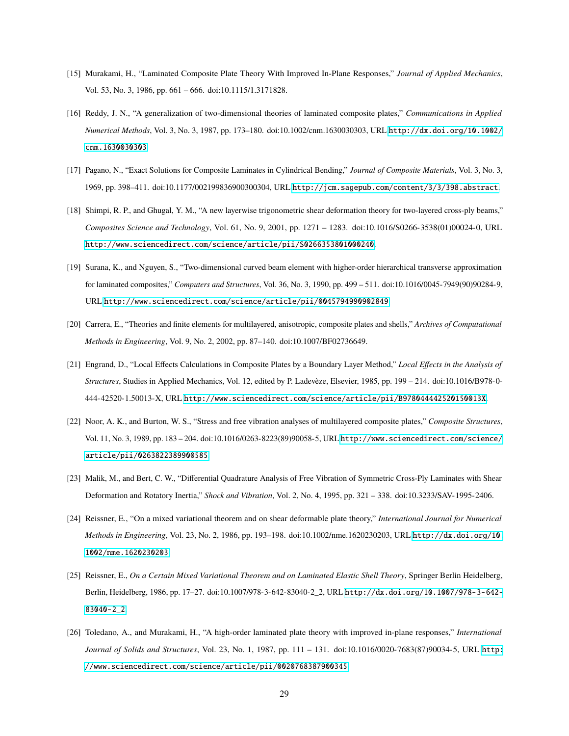- [15] Murakami, H., "Laminated Composite Plate Theory With Improved In-Plane Responses," *Journal of Applied Mechanics*, Vol. 53, No. 3, 1986, pp. 661 – 666. doi:10.1115/1.3171828.
- [16] Reddy, J. N., "A generalization of two-dimensional theories of laminated composite plates," *Communications in Applied Numerical Methods*, Vol. 3, No. 3, 1987, pp. 173–180. doi:10.1002/cnm.1630030303, URL [http://dx.doi.org/10.1002/](http://dx.doi.org/10.1002/cnm.1630030303) [cnm.1630030303](http://dx.doi.org/10.1002/cnm.1630030303).
- [17] Pagano, N., "Exact Solutions for Composite Laminates in Cylindrical Bending," *Journal of Composite Materials*, Vol. 3, No. 3, 1969, pp. 398–411. doi:10.1177/002199836900300304, URL <http://jcm.sagepub.com/content/3/3/398.abstract>.
- [18] Shimpi, R. P., and Ghugal, Y. M., "A new layerwise trigonometric shear deformation theory for two-layered cross-ply beams," *Composites Science and Technology*, Vol. 61, No. 9, 2001, pp. 1271 – 1283. doi:10.1016/S0266-3538(01)00024-0, URL <http://www.sciencedirect.com/science/article/pii/S0266353801000240>.
- [19] Surana, K., and Nguyen, S., "Two-dimensional curved beam element with higher-order hierarchical transverse approximation for laminated composites," *Computers and Structures*, Vol. 36, No. 3, 1990, pp. 499 – 511. doi:10.1016/0045-7949(90)90284-9, URL <http://www.sciencedirect.com/science/article/pii/0045794990902849>.
- [20] Carrera, E., "Theories and finite elements for multilayered, anisotropic, composite plates and shells," *Archives of Computational Methods in Engineering*, Vol. 9, No. 2, 2002, pp. 87–140. doi:10.1007/BF02736649.
- [21] Engrand, D., "Local Effects Calculations in Composite Plates by a Boundary Layer Method," *Local Effects in the Analysis of Structures*, Studies in Applied Mechanics, Vol. 12, edited by P. Ladevèze, Elsevier, 1985, pp. 199 – 214. doi:10.1016/B978-0- 444-42520-1.50013-X, URL <http://www.sciencedirect.com/science/article/pii/B978044442520150013X>.
- [22] Noor, A. K., and Burton, W. S., "Stress and free vibration analyses of multilayered composite plates," *Composite Structures*, Vol. 11, No. 3, 1989, pp. 183 – 204. doi:10.1016/0263-8223(89)90058-5, URL [http://www.sciencedirect.com/science/](http://www.sciencedirect.com/science/article/pii/0263822389900585) [article/pii/0263822389900585](http://www.sciencedirect.com/science/article/pii/0263822389900585).
- [23] Malik, M., and Bert, C. W., "Differential Quadrature Analysis of Free Vibration of Symmetric Cross-Ply Laminates with Shear Deformation and Rotatory Inertia," *Shock and Vibration*, Vol. 2, No. 4, 1995, pp. 321 – 338. doi:10.3233/SAV-1995-2406.
- [24] Reissner, E., "On a mixed variational theorem and on shear deformable plate theory," *International Journal for Numerical Methods in Engineering*, Vol. 23, No. 2, 1986, pp. 193–198. doi:10.1002/nme.1620230203, URL [http://dx.doi.org/10.](http://dx.doi.org/10.1002/nme.1620230203) [1002/nme.1620230203](http://dx.doi.org/10.1002/nme.1620230203).
- [25] Reissner, E., *On a Certain Mixed Variational Theorem and on Laminated Elastic Shell Theory*, Springer Berlin Heidelberg, Berlin, Heidelberg, 1986, pp. 17–27. doi:10.1007/978-3-642-83040-2\_2, URL [http://dx.doi.org/10.1007/978-3-642-](http://dx.doi.org/10.1007/978-3-642-83040-2_2) [83040-2\\_2](http://dx.doi.org/10.1007/978-3-642-83040-2_2).
- [26] Toledano, A., and Murakami, H., "A high-order laminated plate theory with improved in-plane responses," *International Journal of Solids and Structures*, Vol. 23, No. 1, 1987, pp. 111 – 131. doi:10.1016/0020-7683(87)90034-5, URL [http:](http://www.sciencedirect.com/science/article/pii/0020768387900345) [//www.sciencedirect.com/science/article/pii/0020768387900345](http://www.sciencedirect.com/science/article/pii/0020768387900345).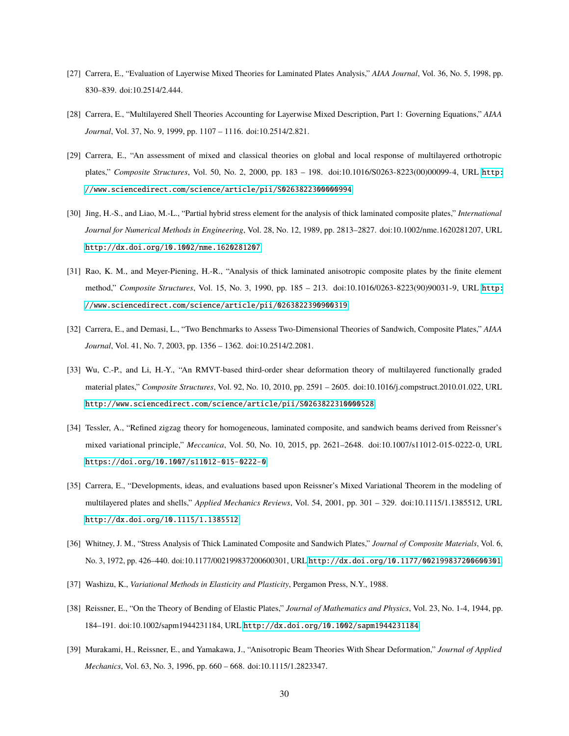- [27] Carrera, E., "Evaluation of Layerwise Mixed Theories for Laminated Plates Analysis," *AIAA Journal*, Vol. 36, No. 5, 1998, pp. 830–839. doi:10.2514/2.444.
- [28] Carrera, E., "Multilayered Shell Theories Accounting for Layerwise Mixed Description, Part 1: Governing Equations," *AIAA Journal*, Vol. 37, No. 9, 1999, pp. 1107 – 1116. doi:10.2514/2.821.
- [29] Carrera, E., "An assessment of mixed and classical theories on global and local response of multilayered orthotropic plates," *Composite Structures*, Vol. 50, No. 2, 2000, pp. 183 – 198. doi:10.1016/S0263-8223(00)00099-4, URL [http:](http://www.sciencedirect.com/science/article/pii/S0263822300000994) [//www.sciencedirect.com/science/article/pii/S0263822300000994](http://www.sciencedirect.com/science/article/pii/S0263822300000994).
- [30] Jing, H.-S., and Liao, M.-L., "Partial hybrid stress element for the analysis of thick laminated composite plates," *International Journal for Numerical Methods in Engineering*, Vol. 28, No. 12, 1989, pp. 2813–2827. doi:10.1002/nme.1620281207, URL <http://dx.doi.org/10.1002/nme.1620281207>.
- [31] Rao, K. M., and Meyer-Piening, H.-R., "Analysis of thick laminated anisotropic composite plates by the finite element method," *Composite Structures*, Vol. 15, No. 3, 1990, pp. 185 – 213. doi:10.1016/0263-8223(90)90031-9, URL [http:](http://www.sciencedirect.com/science/article/pii/0263822390900319) [//www.sciencedirect.com/science/article/pii/0263822390900319](http://www.sciencedirect.com/science/article/pii/0263822390900319).
- [32] Carrera, E., and Demasi, L., "Two Benchmarks to Assess Two-Dimensional Theories of Sandwich, Composite Plates," *AIAA Journal*, Vol. 41, No. 7, 2003, pp. 1356 – 1362. doi:10.2514/2.2081.
- [33] Wu, C.-P., and Li, H.-Y., "An RMVT-based third-order shear deformation theory of multilayered functionally graded material plates," *Composite Structures*, Vol. 92, No. 10, 2010, pp. 2591 – 2605. doi:10.1016/j.compstruct.2010.01.022, URL <http://www.sciencedirect.com/science/article/pii/S0263822310000528>.
- [34] Tessler, A., "Refined zigzag theory for homogeneous, laminated composite, and sandwich beams derived from Reissner's mixed variational principle," *Meccanica*, Vol. 50, No. 10, 2015, pp. 2621–2648. doi:10.1007/s11012-015-0222-0, URL <https://doi.org/10.1007/s11012-015-0222-0>.
- [35] Carrera, E., "Developments, ideas, and evaluations based upon Reissner's Mixed Variational Theorem in the modeling of multilayered plates and shells," *Applied Mechanics Reviews*, Vol. 54, 2001, pp. 301 – 329. doi:10.1115/1.1385512, URL <http://dx.doi.org/10.1115/1.1385512>.
- [36] Whitney, J. M., "Stress Analysis of Thick Laminated Composite and Sandwich Plates," *Journal of Composite Materials*, Vol. 6, No. 3, 1972, pp. 426–440. doi:10.1177/002199837200600301, URL <http://dx.doi.org/10.1177/002199837200600301>.
- [37] Washizu, K., *Variational Methods in Elasticity and Plasticity*, Pergamon Press, N.Y., 1988.
- [38] Reissner, E., "On the Theory of Bending of Elastic Plates," *Journal of Mathematics and Physics*, Vol. 23, No. 1-4, 1944, pp. 184–191. doi:10.1002/sapm1944231184, URL <http://dx.doi.org/10.1002/sapm1944231184>.
- [39] Murakami, H., Reissner, E., and Yamakawa, J., "Anisotropic Beam Theories With Shear Deformation," *Journal of Applied Mechanics*, Vol. 63, No. 3, 1996, pp. 660 – 668. doi:10.1115/1.2823347.